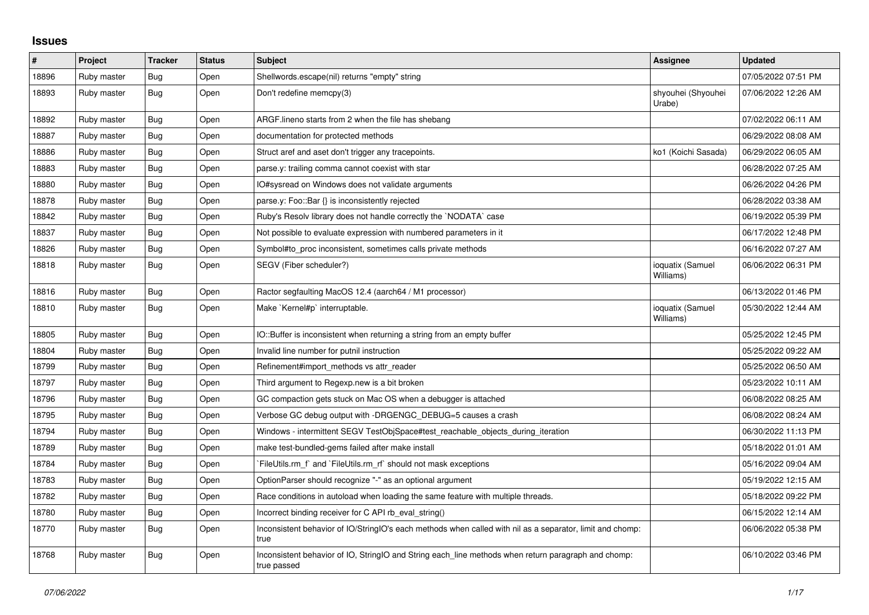## **Issues**

| $\vert$ # | Project     | <b>Tracker</b> | <b>Status</b> | <b>Subject</b>                                                                                                     | Assignee                      | <b>Updated</b>      |
|-----------|-------------|----------------|---------------|--------------------------------------------------------------------------------------------------------------------|-------------------------------|---------------------|
| 18896     | Ruby master | Bug            | Open          | Shellwords.escape(nil) returns "empty" string                                                                      |                               | 07/05/2022 07:51 PM |
| 18893     | Ruby master | <b>Bug</b>     | Open          | Don't redefine memcpy(3)                                                                                           | shyouhei (Shyouhei<br>Urabe)  | 07/06/2022 12:26 AM |
| 18892     | Ruby master | Bug            | Open          | ARGF lineno starts from 2 when the file has shebang                                                                |                               | 07/02/2022 06:11 AM |
| 18887     | Ruby master | Bug            | Open          | documentation for protected methods                                                                                |                               | 06/29/2022 08:08 AM |
| 18886     | Ruby master | <b>Bug</b>     | Open          | Struct aref and aset don't trigger any tracepoints.                                                                | ko1 (Koichi Sasada)           | 06/29/2022 06:05 AM |
| 18883     | Ruby master | <b>Bug</b>     | Open          | parse y: trailing comma cannot coexist with star                                                                   |                               | 06/28/2022 07:25 AM |
| 18880     | Ruby master | <b>Bug</b>     | Open          | IO#sysread on Windows does not validate arguments                                                                  |                               | 06/26/2022 04:26 PM |
| 18878     | Ruby master | <b>Bug</b>     | Open          | parse.y: Foo::Bar {} is inconsistently rejected                                                                    |                               | 06/28/2022 03:38 AM |
| 18842     | Ruby master | <b>Bug</b>     | Open          | Ruby's Resolv library does not handle correctly the `NODATA` case                                                  |                               | 06/19/2022 05:39 PM |
| 18837     | Ruby master | <b>Bug</b>     | Open          | Not possible to evaluate expression with numbered parameters in it                                                 |                               | 06/17/2022 12:48 PM |
| 18826     | Ruby master | <b>Bug</b>     | Open          | Symbol#to proc inconsistent, sometimes calls private methods                                                       |                               | 06/16/2022 07:27 AM |
| 18818     | Ruby master | <b>Bug</b>     | Open          | SEGV (Fiber scheduler?)                                                                                            | ioquatix (Samuel<br>Williams) | 06/06/2022 06:31 PM |
| 18816     | Ruby master | <b>Bug</b>     | Open          | Ractor segfaulting MacOS 12.4 (aarch64 / M1 processor)                                                             |                               | 06/13/2022 01:46 PM |
| 18810     | Ruby master | Bug            | Open          | Make `Kernel#p` interruptable.                                                                                     | ioquatix (Samuel<br>Williams) | 05/30/2022 12:44 AM |
| 18805     | Ruby master | <b>Bug</b>     | Open          | IO::Buffer is inconsistent when returning a string from an empty buffer                                            |                               | 05/25/2022 12:45 PM |
| 18804     | Ruby master | Bug            | Open          | Invalid line number for putnil instruction                                                                         |                               | 05/25/2022 09:22 AM |
| 18799     | Ruby master | <b>Bug</b>     | Open          | Refinement#import_methods vs attr_reader                                                                           |                               | 05/25/2022 06:50 AM |
| 18797     | Ruby master | <b>Bug</b>     | Open          | Third argument to Regexp.new is a bit broken                                                                       |                               | 05/23/2022 10:11 AM |
| 18796     | Ruby master | <b>Bug</b>     | Open          | GC compaction gets stuck on Mac OS when a debugger is attached                                                     |                               | 06/08/2022 08:25 AM |
| 18795     | Ruby master | <b>Bug</b>     | Open          | Verbose GC debug output with -DRGENGC DEBUG=5 causes a crash                                                       |                               | 06/08/2022 08:24 AM |
| 18794     | Ruby master | <b>Bug</b>     | Open          | Windows - intermittent SEGV TestObjSpace#test reachable objects during iteration                                   |                               | 06/30/2022 11:13 PM |
| 18789     | Ruby master | Bug            | Open          | make test-bundled-gems failed after make install                                                                   |                               | 05/18/2022 01:01 AM |
| 18784     | Ruby master | <b>Bug</b>     | Open          | FileUtils.rm f and FileUtils.rm rf should not mask exceptions                                                      |                               | 05/16/2022 09:04 AM |
| 18783     | Ruby master | Bug            | Open          | OptionParser should recognize "-" as an optional argument                                                          |                               | 05/19/2022 12:15 AM |
| 18782     | Ruby master | <b>Bug</b>     | Open          | Race conditions in autoload when loading the same feature with multiple threads.                                   |                               | 05/18/2022 09:22 PM |
| 18780     | Ruby master | <b>Bug</b>     | Open          | Incorrect binding receiver for C API rb eval string()                                                              |                               | 06/15/2022 12:14 AM |
| 18770     | Ruby master | <b>Bug</b>     | Open          | Inconsistent behavior of IO/StringIO's each methods when called with nil as a separator, limit and chomp:<br>true  |                               | 06/06/2022 05:38 PM |
| 18768     | Ruby master | <b>Bug</b>     | Open          | Inconsistent behavior of IO, StringIO and String each_line methods when return paragraph and chomp:<br>true passed |                               | 06/10/2022 03:46 PM |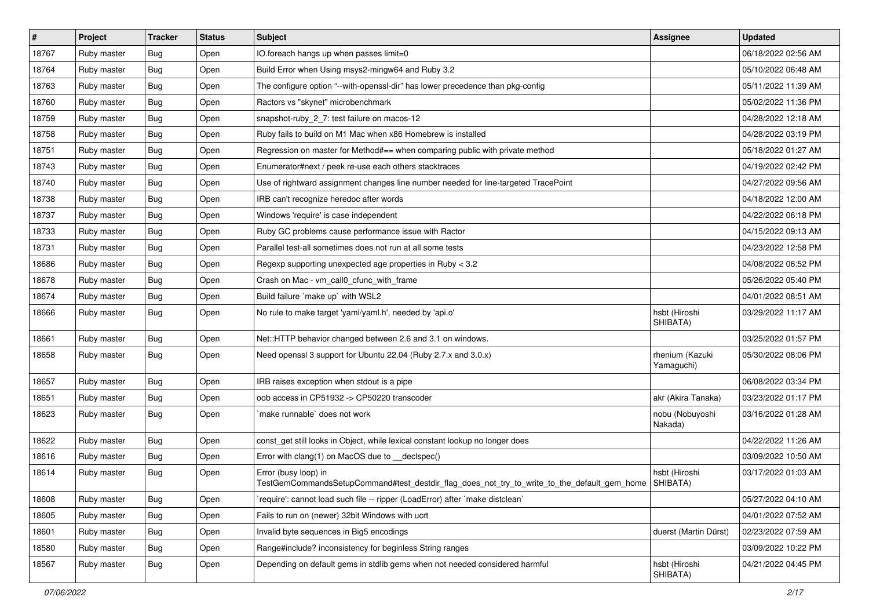| $\vert$ # | Project     | <b>Tracker</b> | <b>Status</b> | Subject                                                                                                             | Assignee                      | <b>Updated</b>      |
|-----------|-------------|----------------|---------------|---------------------------------------------------------------------------------------------------------------------|-------------------------------|---------------------|
| 18767     | Ruby master | <b>Bug</b>     | Open          | IO.foreach hangs up when passes limit=0                                                                             |                               | 06/18/2022 02:56 AM |
| 18764     | Ruby master | <b>Bug</b>     | Open          | Build Error when Using msys2-mingw64 and Ruby 3.2                                                                   |                               | 05/10/2022 06:48 AM |
| 18763     | Ruby master | Bug            | Open          | The configure option "--with-openssl-dir" has lower precedence than pkg-config                                      |                               | 05/11/2022 11:39 AM |
| 18760     | Ruby master | <b>Bug</b>     | Open          | Ractors vs "skynet" microbenchmark                                                                                  |                               | 05/02/2022 11:36 PM |
| 18759     | Ruby master | <b>Bug</b>     | Open          | snapshot-ruby_2_7: test failure on macos-12                                                                         |                               | 04/28/2022 12:18 AM |
| 18758     | Ruby master | <b>Bug</b>     | Open          | Ruby fails to build on M1 Mac when x86 Homebrew is installed                                                        |                               | 04/28/2022 03:19 PM |
| 18751     | Ruby master | <b>Bug</b>     | Open          | Regression on master for Method#== when comparing public with private method                                        |                               | 05/18/2022 01:27 AM |
| 18743     | Ruby master | Bug            | Open          | Enumerator#next / peek re-use each others stacktraces                                                               |                               | 04/19/2022 02:42 PM |
| 18740     | Ruby master | Bug            | Open          | Use of rightward assignment changes line number needed for line-targeted TracePoint                                 |                               | 04/27/2022 09:56 AM |
| 18738     | Ruby master | Bug            | Open          | IRB can't recognize heredoc after words                                                                             |                               | 04/18/2022 12:00 AM |
| 18737     | Ruby master | <b>Bug</b>     | Open          | Windows 'require' is case independent                                                                               |                               | 04/22/2022 06:18 PM |
| 18733     | Ruby master | <b>Bug</b>     | Open          | Ruby GC problems cause performance issue with Ractor                                                                |                               | 04/15/2022 09:13 AM |
| 18731     | Ruby master | <b>Bug</b>     | Open          | Parallel test-all sometimes does not run at all some tests                                                          |                               | 04/23/2022 12:58 PM |
| 18686     | Ruby master | <b>Bug</b>     | Open          | Regexp supporting unexpected age properties in Ruby < 3.2                                                           |                               | 04/08/2022 06:52 PM |
| 18678     | Ruby master | Bug            | Open          | Crash on Mac - vm_call0_cfunc_with_frame                                                                            |                               | 05/26/2022 05:40 PM |
| 18674     | Ruby master | <b>Bug</b>     | Open          | Build failure `make up` with WSL2                                                                                   |                               | 04/01/2022 08:51 AM |
| 18666     | Ruby master | Bug            | Open          | No rule to make target 'yaml/yaml.h', needed by 'api.o'                                                             | hsbt (Hiroshi<br>SHIBATA)     | 03/29/2022 11:17 AM |
| 18661     | Ruby master | <b>Bug</b>     | Open          | Net::HTTP behavior changed between 2.6 and 3.1 on windows.                                                          |                               | 03/25/2022 01:57 PM |
| 18658     | Ruby master | <b>Bug</b>     | Open          | Need openssl 3 support for Ubuntu 22.04 (Ruby 2.7.x and 3.0.x)                                                      | rhenium (Kazuki<br>Yamaguchi) | 05/30/2022 08:06 PM |
| 18657     | Ruby master | <b>Bug</b>     | Open          | IRB raises exception when stdout is a pipe                                                                          |                               | 06/08/2022 03:34 PM |
| 18651     | Ruby master | <b>Bug</b>     | Open          | oob access in CP51932 -> CP50220 transcoder                                                                         | akr (Akira Tanaka)            | 03/23/2022 01:17 PM |
| 18623     | Ruby master | <b>Bug</b>     | Open          | make runnable` does not work                                                                                        | nobu (Nobuyoshi<br>Nakada)    | 03/16/2022 01:28 AM |
| 18622     | Ruby master | <b>Bug</b>     | Open          | const_get still looks in Object, while lexical constant lookup no longer does                                       |                               | 04/22/2022 11:26 AM |
| 18616     | Ruby master | <b>Bug</b>     | Open          | Error with clang(1) on MacOS due to _declspec()                                                                     |                               | 03/09/2022 10:50 AM |
| 18614     | Ruby master | <b>Bug</b>     | Open          | Error (busy loop) in<br>TestGemCommandsSetupCommand#test_destdir_flag_does_not_try_to_write_to_the_default_gem_home | hsbt (Hiroshi<br>SHIBATA)     | 03/17/2022 01:03 AM |
| 18608     | Ruby master | <b>Bug</b>     | Open          | 'require': cannot load such file -- ripper (LoadError) after 'make distclean'                                       |                               | 05/27/2022 04:10 AM |
| 18605     | Ruby master | Bug            | Open          | Fails to run on (newer) 32bit Windows with ucrt                                                                     |                               | 04/01/2022 07:52 AM |
| 18601     | Ruby master | <b>Bug</b>     | Open          | Invalid byte sequences in Big5 encodings                                                                            | duerst (Martin Dürst)         | 02/23/2022 07:59 AM |
| 18580     | Ruby master | Bug            | Open          | Range#include? inconsistency for beginless String ranges                                                            |                               | 03/09/2022 10:22 PM |
| 18567     | Ruby master | <b>Bug</b>     | Open          | Depending on default gems in stdlib gems when not needed considered harmful                                         | hsbt (Hiroshi<br>SHIBATA)     | 04/21/2022 04:45 PM |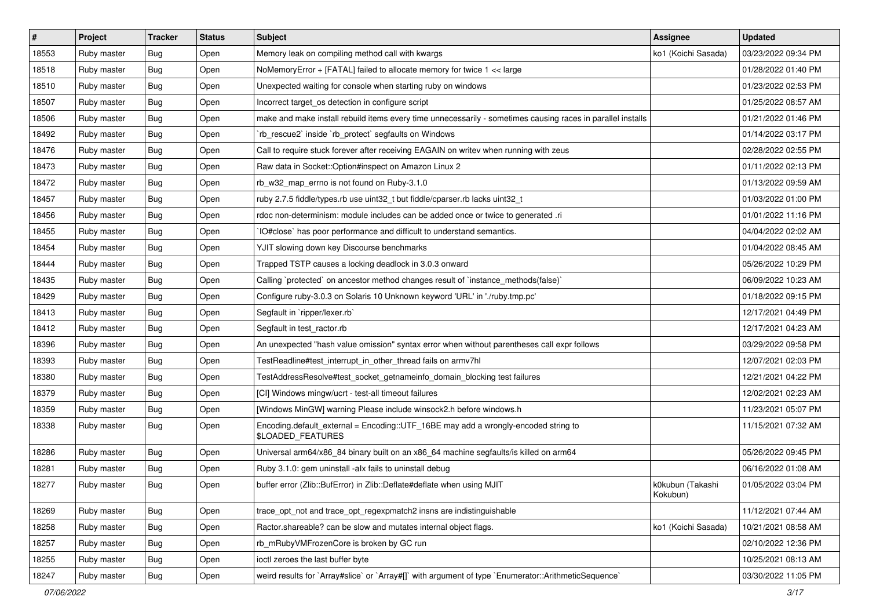| $\vert$ # | Project     | <b>Tracker</b> | <b>Status</b> | Subject                                                                                                        | <b>Assignee</b>              | <b>Updated</b>      |
|-----------|-------------|----------------|---------------|----------------------------------------------------------------------------------------------------------------|------------------------------|---------------------|
| 18553     | Ruby master | <b>Bug</b>     | Open          | Memory leak on compiling method call with kwargs                                                               | ko1 (Koichi Sasada)          | 03/23/2022 09:34 PM |
| 18518     | Ruby master | <b>Bug</b>     | Open          | NoMemoryError + [FATAL] failed to allocate memory for twice 1 << large                                         |                              | 01/28/2022 01:40 PM |
| 18510     | Ruby master | Bug            | Open          | Unexpected waiting for console when starting ruby on windows                                                   |                              | 01/23/2022 02:53 PM |
| 18507     | Ruby master | <b>Bug</b>     | Open          | Incorrect target_os detection in configure script                                                              |                              | 01/25/2022 08:57 AM |
| 18506     | Ruby master | <b>Bug</b>     | Open          | make and make install rebuild items every time unnecessarily - sometimes causing races in parallel installs    |                              | 01/21/2022 01:46 PM |
| 18492     | Ruby master | <b>Bug</b>     | Open          | 'rb rescue2' inside 'rb protect' segfaults on Windows                                                          |                              | 01/14/2022 03:17 PM |
| 18476     | Ruby master | <b>Bug</b>     | Open          | Call to require stuck forever after receiving EAGAIN on writev when running with zeus                          |                              | 02/28/2022 02:55 PM |
| 18473     | Ruby master | <b>Bug</b>     | Open          | Raw data in Socket::Option#inspect on Amazon Linux 2                                                           |                              | 01/11/2022 02:13 PM |
| 18472     | Ruby master | Bug            | Open          | rb_w32_map_errno is not found on Ruby-3.1.0                                                                    |                              | 01/13/2022 09:59 AM |
| 18457     | Ruby master | Bug            | Open          | ruby 2.7.5 fiddle/types.rb use uint32_t but fiddle/cparser.rb lacks uint32_t                                   |                              | 01/03/2022 01:00 PM |
| 18456     | Ruby master | Bug            | Open          | rdoc non-determinism: module includes can be added once or twice to generated .ri                              |                              | 01/01/2022 11:16 PM |
| 18455     | Ruby master | Bug            | Open          | IO#close` has poor performance and difficult to understand semantics.                                          |                              | 04/04/2022 02:02 AM |
| 18454     | Ruby master | <b>Bug</b>     | Open          | YJIT slowing down key Discourse benchmarks                                                                     |                              | 01/04/2022 08:45 AM |
| 18444     | Ruby master | Bug            | Open          | Trapped TSTP causes a locking deadlock in 3.0.3 onward                                                         |                              | 05/26/2022 10:29 PM |
| 18435     | Ruby master | <b>Bug</b>     | Open          | Calling `protected` on ancestor method changes result of `instance_methods(false)`                             |                              | 06/09/2022 10:23 AM |
| 18429     | Ruby master | Bug            | Open          | Configure ruby-3.0.3 on Solaris 10 Unknown keyword 'URL' in './ruby.tmp.pc'                                    |                              | 01/18/2022 09:15 PM |
| 18413     | Ruby master | <b>Bug</b>     | Open          | Segfault in `ripper/lexer.rb`                                                                                  |                              | 12/17/2021 04:49 PM |
| 18412     | Ruby master | <b>Bug</b>     | Open          | Segfault in test_ractor.rb                                                                                     |                              | 12/17/2021 04:23 AM |
| 18396     | Ruby master | <b>Bug</b>     | Open          | An unexpected "hash value omission" syntax error when without parentheses call expr follows                    |                              | 03/29/2022 09:58 PM |
| 18393     | Ruby master | <b>Bug</b>     | Open          | TestReadline#test_interrupt_in_other_thread fails on armv7hl                                                   |                              | 12/07/2021 02:03 PM |
| 18380     | Ruby master | Bug            | Open          | TestAddressResolve#test_socket_getnameinfo_domain_blocking test failures                                       |                              | 12/21/2021 04:22 PM |
| 18379     | Ruby master | Bug            | Open          | [CI] Windows mingw/ucrt - test-all timeout failures                                                            |                              | 12/02/2021 02:23 AM |
| 18359     | Ruby master | Bug            | Open          | [Windows MinGW] warning Please include winsock2.h before windows.h                                             |                              | 11/23/2021 05:07 PM |
| 18338     | Ruby master | <b>Bug</b>     | Open          | Encoding.default_external = Encoding::UTF_16BE may add a wrongly-encoded string to<br><b>\$LOADED FEATURES</b> |                              | 11/15/2021 07:32 AM |
| 18286     | Ruby master | <b>Bug</b>     | Open          | Universal arm64/x86_84 binary built on an x86_64 machine segfaults/is killed on arm64                          |                              | 05/26/2022 09:45 PM |
| 18281     | Ruby master | <b>Bug</b>     | Open          | Ruby 3.1.0: gem uninstall -alx fails to uninstall debug                                                        |                              | 06/16/2022 01:08 AM |
| 18277     | Ruby master | <b>Bug</b>     | Open          | buffer error (Zlib::BufError) in Zlib::Deflate#deflate when using MJIT                                         | k0kubun (Takashi<br>Kokubun) | 01/05/2022 03:04 PM |
| 18269     | Ruby master | <b>Bug</b>     | Open          | trace_opt_not and trace_opt_regexpmatch2 insns are indistinguishable                                           |                              | 11/12/2021 07:44 AM |
| 18258     | Ruby master | <b>Bug</b>     | Open          | Ractor shareable? can be slow and mutates internal object flags.                                               | ko1 (Koichi Sasada)          | 10/21/2021 08:58 AM |
| 18257     | Ruby master | <b>Bug</b>     | Open          | rb_mRubyVMFrozenCore is broken by GC run                                                                       |                              | 02/10/2022 12:36 PM |
| 18255     | Ruby master | <b>Bug</b>     | Open          | ioctl zeroes the last buffer byte                                                                              |                              | 10/25/2021 08:13 AM |
| 18247     | Ruby master | Bug            | Open          | weird results for `Array#slice` or `Array#[]` with argument of type `Enumerator::ArithmeticSequence`           |                              | 03/30/2022 11:05 PM |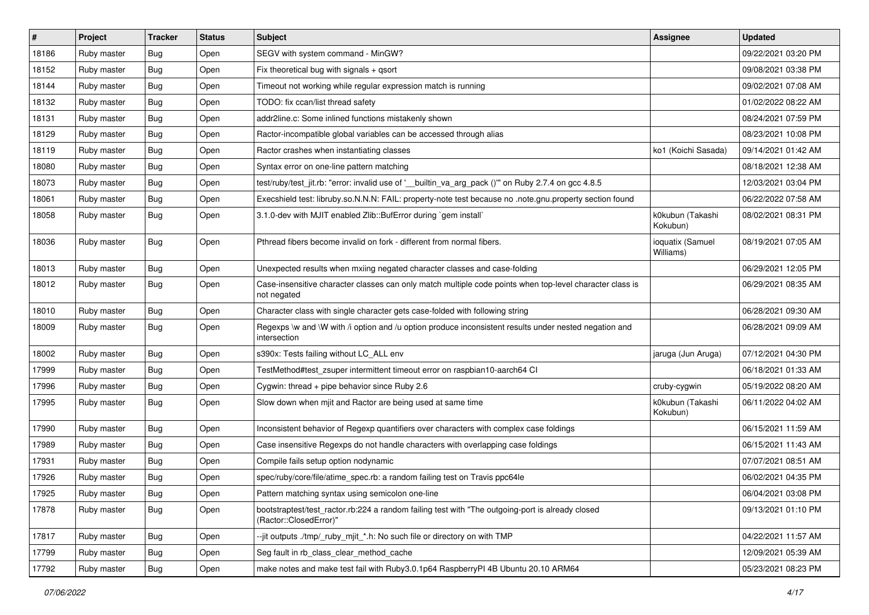| $\vert$ # | Project     | <b>Tracker</b> | <b>Status</b> | Subject                                                                                                                    | <b>Assignee</b>               | <b>Updated</b>      |
|-----------|-------------|----------------|---------------|----------------------------------------------------------------------------------------------------------------------------|-------------------------------|---------------------|
| 18186     | Ruby master | Bug            | Open          | SEGV with system command - MinGW?                                                                                          |                               | 09/22/2021 03:20 PM |
| 18152     | Ruby master | <b>Bug</b>     | Open          | Fix theoretical bug with signals + qsort                                                                                   |                               | 09/08/2021 03:38 PM |
| 18144     | Ruby master | Bug            | Open          | Timeout not working while regular expression match is running                                                              |                               | 09/02/2021 07:08 AM |
| 18132     | Ruby master | <b>Bug</b>     | Open          | TODO: fix ccan/list thread safety                                                                                          |                               | 01/02/2022 08:22 AM |
| 18131     | Ruby master | <b>Bug</b>     | Open          | addr2line.c: Some inlined functions mistakenly shown                                                                       |                               | 08/24/2021 07:59 PM |
| 18129     | Ruby master | <b>Bug</b>     | Open          | Ractor-incompatible global variables can be accessed through alias                                                         |                               | 08/23/2021 10:08 PM |
| 18119     | Ruby master | <b>Bug</b>     | Open          | Ractor crashes when instantiating classes                                                                                  | ko1 (Koichi Sasada)           | 09/14/2021 01:42 AM |
| 18080     | Ruby master | <b>Bug</b>     | Open          | Syntax error on one-line pattern matching                                                                                  |                               | 08/18/2021 12:38 AM |
| 18073     | Ruby master | Bug            | Open          | test/ruby/test_jit.rb: "error: invalid use of '__builtin_va_arg_pack ()"' on Ruby 2.7.4 on gcc 4.8.5                       |                               | 12/03/2021 03:04 PM |
| 18061     | Ruby master | Bug            | Open          | Execshield test: libruby.so.N.N.N: FAIL: property-note test because no .note.gnu.property section found                    |                               | 06/22/2022 07:58 AM |
| 18058     | Ruby master | <b>Bug</b>     | Open          | 3.1.0-dev with MJIT enabled Zlib::BufError during `gem install`                                                            | k0kubun (Takashi<br>Kokubun)  | 08/02/2021 08:31 PM |
| 18036     | Ruby master | Bug            | Open          | Pthread fibers become invalid on fork - different from normal fibers.                                                      | ioquatix (Samuel<br>Williams) | 08/19/2021 07:05 AM |
| 18013     | Ruby master | <b>Bug</b>     | Open          | Unexpected results when mxiing negated character classes and case-folding                                                  |                               | 06/29/2021 12:05 PM |
| 18012     | Ruby master | Bug            | Open          | Case-insensitive character classes can only match multiple code points when top-level character class is<br>not negated    |                               | 06/29/2021 08:35 AM |
| 18010     | Ruby master | Bug            | Open          | Character class with single character gets case-folded with following string                                               |                               | 06/28/2021 09:30 AM |
| 18009     | Ruby master | Bug            | Open          | Regexps \w and \W with /i option and /u option produce inconsistent results under nested negation and<br>intersection      |                               | 06/28/2021 09:09 AM |
| 18002     | Ruby master | <b>Bug</b>     | Open          | s390x: Tests failing without LC_ALL env                                                                                    | jaruga (Jun Aruga)            | 07/12/2021 04:30 PM |
| 17999     | Ruby master | Bug            | Open          | TestMethod#test_zsuper intermittent timeout error on raspbian10-aarch64 CI                                                 |                               | 06/18/2021 01:33 AM |
| 17996     | Ruby master | Bug            | Open          | Cygwin: thread + pipe behavior since Ruby 2.6                                                                              | cruby-cygwin                  | 05/19/2022 08:20 AM |
| 17995     | Ruby master | <b>Bug</b>     | Open          | Slow down when mjit and Ractor are being used at same time                                                                 | k0kubun (Takashi<br>Kokubun)  | 06/11/2022 04:02 AM |
| 17990     | Ruby master | Bug            | Open          | Inconsistent behavior of Regexp quantifiers over characters with complex case foldings                                     |                               | 06/15/2021 11:59 AM |
| 17989     | Ruby master | Bug            | Open          | Case insensitive Regexps do not handle characters with overlapping case foldings                                           |                               | 06/15/2021 11:43 AM |
| 17931     | Ruby master | <b>Bug</b>     | Open          | Compile fails setup option nodynamic                                                                                       |                               | 07/07/2021 08:51 AM |
| 17926     | Ruby master | <b>Bug</b>     | Open          | spec/ruby/core/file/atime_spec.rb: a random failing test on Travis ppc64le                                                 |                               | 06/02/2021 04:35 PM |
| 17925     | Ruby master | <b>Bug</b>     | Open          | Pattern matching syntax using semicolon one-line                                                                           |                               | 06/04/2021 03:08 PM |
| 17878     | Ruby master | Bug            | Open          | bootstraptest/test_ractor.rb:224 a random failing test with "The outgoing-port is already closed<br>(Ractor::ClosedError)" |                               | 09/13/2021 01:10 PM |
| 17817     | Ruby master | <b>Bug</b>     | Open          | --jit outputs ./tmp/_ruby_mjit_*.h: No such file or directory on with TMP                                                  |                               | 04/22/2021 11:57 AM |
| 17799     | Ruby master | <b>Bug</b>     | Open          | Seg fault in rb_class_clear_method_cache                                                                                   |                               | 12/09/2021 05:39 AM |
| 17792     | Ruby master | <b>Bug</b>     | Open          | make notes and make test fail with Ruby3.0.1p64 RaspberryPI 4B Ubuntu 20.10 ARM64                                          |                               | 05/23/2021 08:23 PM |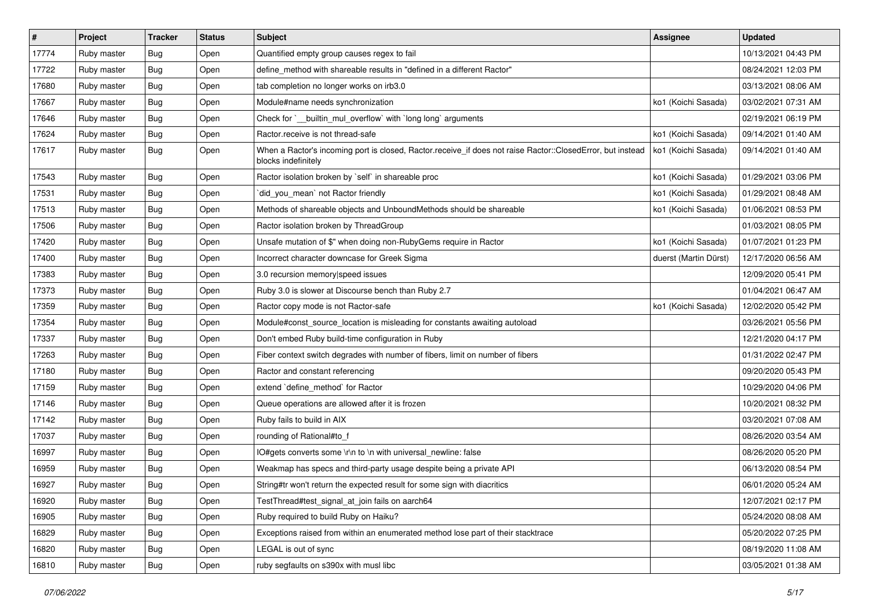| $\vert$ # | Project     | <b>Tracker</b> | <b>Status</b> | <b>Subject</b>                                                                                                                    | <b>Assignee</b>       | <b>Updated</b>      |
|-----------|-------------|----------------|---------------|-----------------------------------------------------------------------------------------------------------------------------------|-----------------------|---------------------|
| 17774     | Ruby master | Bug            | Open          | Quantified empty group causes regex to fail                                                                                       |                       | 10/13/2021 04:43 PM |
| 17722     | Ruby master | <b>Bug</b>     | Open          | define method with shareable results in "defined in a different Ractor"                                                           |                       | 08/24/2021 12:03 PM |
| 17680     | Ruby master | <b>Bug</b>     | Open          | tab completion no longer works on irb3.0                                                                                          |                       | 03/13/2021 08:06 AM |
| 17667     | Ruby master | <b>Bug</b>     | Open          | Module#name needs synchronization                                                                                                 | ko1 (Koichi Sasada)   | 03/02/2021 07:31 AM |
| 17646     | Ruby master | <b>Bug</b>     | Open          | Check for `__builtin_mul_overflow` with `long long` arguments                                                                     |                       | 02/19/2021 06:19 PM |
| 17624     | Ruby master | <b>Bug</b>     | Open          | Ractor.receive is not thread-safe                                                                                                 | ko1 (Koichi Sasada)   | 09/14/2021 01:40 AM |
| 17617     | Ruby master | <b>Bug</b>     | Open          | When a Ractor's incoming port is closed, Ractor.receive_if does not raise Ractor::ClosedError, but instead<br>blocks indefinitely | ko1 (Koichi Sasada)   | 09/14/2021 01:40 AM |
| 17543     | Ruby master | Bug            | Open          | Ractor isolation broken by `self` in shareable proc                                                                               | ko1 (Koichi Sasada)   | 01/29/2021 03:06 PM |
| 17531     | Ruby master | Bug            | Open          | `did_you_mean` not Ractor friendly                                                                                                | ko1 (Koichi Sasada)   | 01/29/2021 08:48 AM |
| 17513     | Ruby master | <b>Bug</b>     | Open          | Methods of shareable objects and UnboundMethods should be shareable                                                               | ko1 (Koichi Sasada)   | 01/06/2021 08:53 PM |
| 17506     | Ruby master | <b>Bug</b>     | Open          | Ractor isolation broken by ThreadGroup                                                                                            |                       | 01/03/2021 08:05 PM |
| 17420     | Ruby master | <b>Bug</b>     | Open          | Unsafe mutation of \$" when doing non-RubyGems require in Ractor                                                                  | ko1 (Koichi Sasada)   | 01/07/2021 01:23 PM |
| 17400     | Ruby master | <b>Bug</b>     | Open          | Incorrect character downcase for Greek Sigma                                                                                      | duerst (Martin Dürst) | 12/17/2020 06:56 AM |
| 17383     | Ruby master | <b>Bug</b>     | Open          | 3.0 recursion memory speed issues                                                                                                 |                       | 12/09/2020 05:41 PM |
| 17373     | Ruby master | <b>Bug</b>     | Open          | Ruby 3.0 is slower at Discourse bench than Ruby 2.7                                                                               |                       | 01/04/2021 06:47 AM |
| 17359     | Ruby master | <b>Bug</b>     | Open          | Ractor copy mode is not Ractor-safe                                                                                               | ko1 (Koichi Sasada)   | 12/02/2020 05:42 PM |
| 17354     | Ruby master | Bug            | Open          | Module#const_source_location is misleading for constants awaiting autoload                                                        |                       | 03/26/2021 05:56 PM |
| 17337     | Ruby master | <b>Bug</b>     | Open          | Don't embed Ruby build-time configuration in Ruby                                                                                 |                       | 12/21/2020 04:17 PM |
| 17263     | Ruby master | <b>Bug</b>     | Open          | Fiber context switch degrades with number of fibers, limit on number of fibers                                                    |                       | 01/31/2022 02:47 PM |
| 17180     | Ruby master | <b>Bug</b>     | Open          | Ractor and constant referencing                                                                                                   |                       | 09/20/2020 05:43 PM |
| 17159     | Ruby master | <b>Bug</b>     | Open          | extend `define method` for Ractor                                                                                                 |                       | 10/29/2020 04:06 PM |
| 17146     | Ruby master | <b>Bug</b>     | Open          | Queue operations are allowed after it is frozen                                                                                   |                       | 10/20/2021 08:32 PM |
| 17142     | Ruby master | <b>Bug</b>     | Open          | Ruby fails to build in AIX                                                                                                        |                       | 03/20/2021 07:08 AM |
| 17037     | Ruby master | <b>Bug</b>     | Open          | rounding of Rational#to_f                                                                                                         |                       | 08/26/2020 03:54 AM |
| 16997     | Ruby master | <b>Bug</b>     | Open          | IO#gets converts some \r\n to \n with universal newline: false                                                                    |                       | 08/26/2020 05:20 PM |
| 16959     | Ruby master | <b>Bug</b>     | Open          | Weakmap has specs and third-party usage despite being a private API                                                               |                       | 06/13/2020 08:54 PM |
| 16927     | Ruby master | <b>Bug</b>     | Open          | String#tr won't return the expected result for some sign with diacritics                                                          |                       | 06/01/2020 05:24 AM |
| 16920     | Ruby master | <b>Bug</b>     | Open          | TestThread#test_signal_at_join fails on aarch64                                                                                   |                       | 12/07/2021 02:17 PM |
| 16905     | Ruby master | <b>Bug</b>     | Open          | Ruby required to build Ruby on Haiku?                                                                                             |                       | 05/24/2020 08:08 AM |
| 16829     | Ruby master | <b>Bug</b>     | Open          | Exceptions raised from within an enumerated method lose part of their stacktrace                                                  |                       | 05/20/2022 07:25 PM |
| 16820     | Ruby master | Bug            | Open          | LEGAL is out of sync                                                                                                              |                       | 08/19/2020 11:08 AM |
| 16810     | Ruby master | <b>Bug</b>     | Open          | ruby segfaults on s390x with musl libc                                                                                            |                       | 03/05/2021 01:38 AM |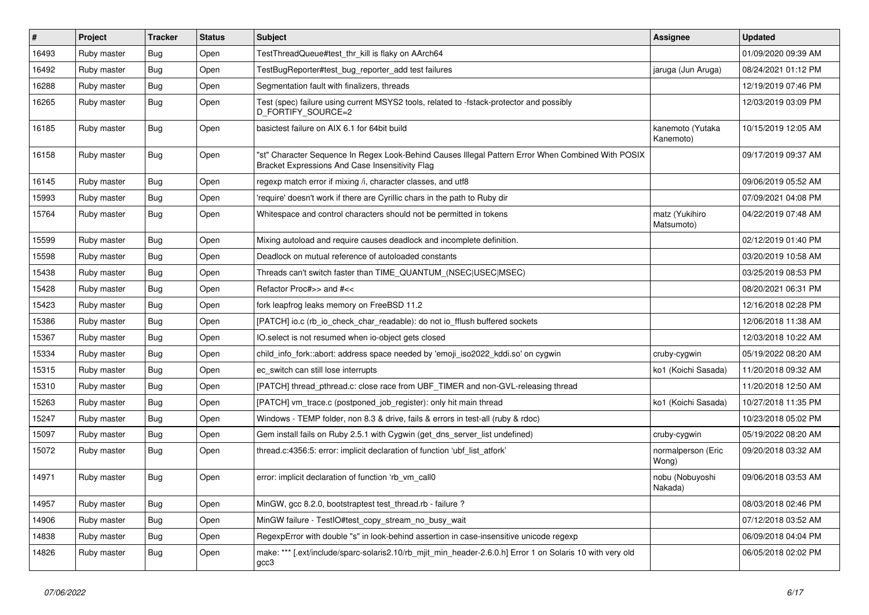| $\pmb{\#}$ | Project     | <b>Tracker</b> | <b>Status</b> | <b>Subject</b>                                                                                                                                        | Assignee                      | <b>Updated</b>      |
|------------|-------------|----------------|---------------|-------------------------------------------------------------------------------------------------------------------------------------------------------|-------------------------------|---------------------|
| 16493      | Ruby master | <b>Bug</b>     | Open          | TestThreadQueue#test thr kill is flaky on AArch64                                                                                                     |                               | 01/09/2020 09:39 AM |
| 16492      | Ruby master | Bug            | Open          | TestBugReporter#test_bug_reporter_add test failures                                                                                                   | jaruga (Jun Aruga)            | 08/24/2021 01:12 PM |
| 16288      | Ruby master | <b>Bug</b>     | Open          | Segmentation fault with finalizers, threads                                                                                                           |                               | 12/19/2019 07:46 PM |
| 16265      | Ruby master | <b>Bug</b>     | Open          | Test (spec) failure using current MSYS2 tools, related to -fstack-protector and possibly<br>D FORTIFY SOURCE=2                                        |                               | 12/03/2019 03:09 PM |
| 16185      | Ruby master | Bug            | Open          | basictest failure on AIX 6.1 for 64bit build                                                                                                          | kanemoto (Yutaka<br>Kanemoto) | 10/15/2019 12:05 AM |
| 16158      | Ruby master | <b>Bug</b>     | Open          | 'st" Character Sequence In Regex Look-Behind Causes Illegal Pattern Error When Combined With POSIX<br>Bracket Expressions And Case Insensitivity Flag |                               | 09/17/2019 09:37 AM |
| 16145      | Ruby master | <b>Bug</b>     | Open          | regexp match error if mixing /i, character classes, and utf8                                                                                          |                               | 09/06/2019 05:52 AM |
| 15993      | Ruby master | <b>Bug</b>     | Open          | 'require' doesn't work if there are Cyrillic chars in the path to Ruby dir                                                                            |                               | 07/09/2021 04:08 PM |
| 15764      | Ruby master | <b>Bug</b>     | Open          | Whitespace and control characters should not be permitted in tokens                                                                                   | matz (Yukihiro<br>Matsumoto)  | 04/22/2019 07:48 AM |
| 15599      | Ruby master | <b>Bug</b>     | Open          | Mixing autoload and require causes deadlock and incomplete definition.                                                                                |                               | 02/12/2019 01:40 PM |
| 15598      | Ruby master | <b>Bug</b>     | Open          | Deadlock on mutual reference of autoloaded constants                                                                                                  |                               | 03/20/2019 10:58 AM |
| 15438      | Ruby master | <b>Bug</b>     | Open          | Threads can't switch faster than TIME_QUANTUM_(NSEC USEC MSEC)                                                                                        |                               | 03/25/2019 08:53 PM |
| 15428      | Ruby master | Bug            | Open          | Refactor Proc# $>$ and # $<<$                                                                                                                         |                               | 08/20/2021 06:31 PM |
| 15423      | Ruby master | <b>Bug</b>     | Open          | fork leapfrog leaks memory on FreeBSD 11.2                                                                                                            |                               | 12/16/2018 02:28 PM |
| 15386      | Ruby master | <b>Bug</b>     | Open          | [PATCH] io.c (rb io check char readable): do not io fflush buffered sockets                                                                           |                               | 12/06/2018 11:38 AM |
| 15367      | Ruby master | <b>Bug</b>     | Open          | IO.select is not resumed when io-object gets closed                                                                                                   |                               | 12/03/2018 10:22 AM |
| 15334      | Ruby master | Bug            | Open          | child_info_fork::abort: address space needed by 'emoji_iso2022_kddi.so' on cygwin                                                                     | cruby-cygwin                  | 05/19/2022 08:20 AM |
| 15315      | Ruby master | Bug            | Open          | ec switch can still lose interrupts                                                                                                                   | ko1 (Koichi Sasada)           | 11/20/2018 09:32 AM |
| 15310      | Ruby master | Bug            | Open          | [PATCH] thread pthread.c: close race from UBF TIMER and non-GVL-releasing thread                                                                      |                               | 11/20/2018 12:50 AM |
| 15263      | Ruby master | Bug            | Open          | [PATCH] vm trace.c (postponed job register): only hit main thread                                                                                     | ko1 (Koichi Sasada)           | 10/27/2018 11:35 PM |
| 15247      | Ruby master | Bug            | Open          | Windows - TEMP folder, non 8.3 & drive, fails & errors in test-all (ruby & rdoc)                                                                      |                               | 10/23/2018 05:02 PM |
| 15097      | Ruby master | Bug            | Open          | Gem install fails on Ruby 2.5.1 with Cygwin (get_dns_server_list undefined)                                                                           | cruby-cygwin                  | 05/19/2022 08:20 AM |
| 15072      | Ruby master | Bug            | Open          | thread.c:4356:5: error: implicit declaration of function 'ubf list atfork'                                                                            | normalperson (Eric<br>Wong)   | 09/20/2018 03:32 AM |
| 14971      | Ruby master | <b>Bug</b>     | Open          | error: implicit declaration of function 'rb_vm_call0                                                                                                  | nobu (Nobuyoshi<br>Nakada)    | 09/06/2018 03:53 AM |
| 14957      | Ruby master | <b>Bug</b>     | Open          | MinGW, gcc 8.2.0, bootstraptest test_thread.rb - failure ?                                                                                            |                               | 08/03/2018 02:46 PM |
| 14906      | Ruby master | <b>Bug</b>     | Open          | MinGW failure - TestIO#test_copy_stream_no_busy_wait                                                                                                  |                               | 07/12/2018 03:52 AM |
| 14838      | Ruby master | <b>Bug</b>     | Open          | RegexpError with double "s" in look-behind assertion in case-insensitive unicode regexp                                                               |                               | 06/09/2018 04:04 PM |
| 14826      | Ruby master | Bug            | Open          | make: *** [.ext/include/sparc-solaris2.10/rb_mjit_min_header-2.6.0.h] Error 1 on Solaris 10 with very old<br>gcc3                                     |                               | 06/05/2018 02:02 PM |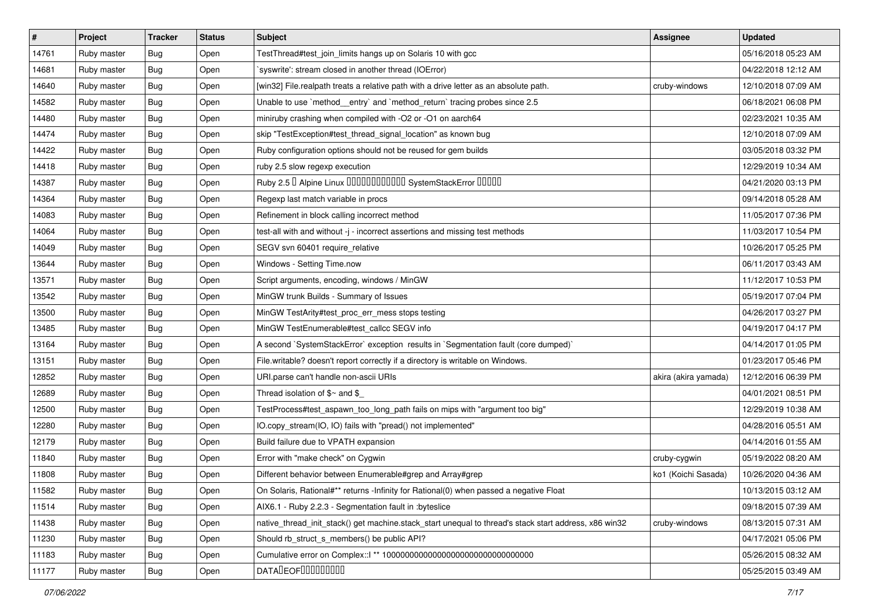| $\vert$ # | Project     | <b>Tracker</b> | <b>Status</b> | Subject                                                                                               | Assignee             | <b>Updated</b>      |
|-----------|-------------|----------------|---------------|-------------------------------------------------------------------------------------------------------|----------------------|---------------------|
| 14761     | Ruby master | Bug            | Open          | TestThread#test_join_limits hangs up on Solaris 10 with gcc                                           |                      | 05/16/2018 05:23 AM |
| 14681     | Ruby master | <b>Bug</b>     | Open          | 'syswrite': stream closed in another thread (IOError)                                                 |                      | 04/22/2018 12:12 AM |
| 14640     | Ruby master | <b>Bug</b>     | Open          | [win32] File.realpath treats a relative path with a drive letter as an absolute path.                 | cruby-windows        | 12/10/2018 07:09 AM |
| 14582     | Ruby master | Bug            | Open          | Unable to use `method_entry` and `method_return` tracing probes since 2.5                             |                      | 06/18/2021 06:08 PM |
| 14480     | Ruby master | <b>Bug</b>     | Open          | miniruby crashing when compiled with -O2 or -O1 on aarch64                                            |                      | 02/23/2021 10:35 AM |
| 14474     | Ruby master | <b>Bug</b>     | Open          | skip "TestException#test_thread_signal_location" as known bug                                         |                      | 12/10/2018 07:09 AM |
| 14422     | Ruby master | <b>Bug</b>     | Open          | Ruby configuration options should not be reused for gem builds                                        |                      | 03/05/2018 03:32 PM |
| 14418     | Ruby master | Bug            | Open          | ruby 2.5 slow regexp execution                                                                        |                      | 12/29/2019 10:34 AM |
| 14387     | Ruby master | <b>Bug</b>     | Open          | Ruby 2.5 <sup>D</sup> Alpine Linux 000000000000 SystemStackError 00000                                |                      | 04/21/2020 03:13 PM |
| 14364     | Ruby master | Bug            | Open          | Regexp last match variable in procs                                                                   |                      | 09/14/2018 05:28 AM |
| 14083     | Ruby master | <b>Bug</b>     | Open          | Refinement in block calling incorrect method                                                          |                      | 11/05/2017 07:36 PM |
| 14064     | Ruby master | Bug            | Open          | test-all with and without -j - incorrect assertions and missing test methods                          |                      | 11/03/2017 10:54 PM |
| 14049     | Ruby master | <b>Bug</b>     | Open          | SEGV svn 60401 require_relative                                                                       |                      | 10/26/2017 05:25 PM |
| 13644     | Ruby master | <b>Bug</b>     | Open          | Windows - Setting Time.now                                                                            |                      | 06/11/2017 03:43 AM |
| 13571     | Ruby master | <b>Bug</b>     | Open          | Script arguments, encoding, windows / MinGW                                                           |                      | 11/12/2017 10:53 PM |
| 13542     | Ruby master | <b>Bug</b>     | Open          | MinGW trunk Builds - Summary of Issues                                                                |                      | 05/19/2017 07:04 PM |
| 13500     | Ruby master | <b>Bug</b>     | Open          | MinGW TestArity#test_proc_err_mess stops testing                                                      |                      | 04/26/2017 03:27 PM |
| 13485     | Ruby master | <b>Bug</b>     | Open          | MinGW TestEnumerable#test_callcc SEGV info                                                            |                      | 04/19/2017 04:17 PM |
| 13164     | Ruby master | Bug            | Open          | A second `SystemStackError` exception results in `Segmentation fault (core dumped)`                   |                      | 04/14/2017 01:05 PM |
| 13151     | Ruby master | <b>Bug</b>     | Open          | File.writable? doesn't report correctly if a directory is writable on Windows.                        |                      | 01/23/2017 05:46 PM |
| 12852     | Ruby master | Bug            | Open          | URI.parse can't handle non-ascii URIs                                                                 | akira (akira yamada) | 12/12/2016 06:39 PM |
| 12689     | Ruby master | <b>Bug</b>     | Open          | Thread isolation of $$~$ and $$$                                                                      |                      | 04/01/2021 08:51 PM |
| 12500     | Ruby master | Bug            | Open          | TestProcess#test_aspawn_too_long_path fails on mips with "argument too big"                           |                      | 12/29/2019 10:38 AM |
| 12280     | Ruby master | <b>Bug</b>     | Open          | IO.copy_stream(IO, IO) fails with "pread() not implemented"                                           |                      | 04/28/2016 05:51 AM |
| 12179     | Ruby master | <b>Bug</b>     | Open          | Build failure due to VPATH expansion                                                                  |                      | 04/14/2016 01:55 AM |
| 11840     | Ruby master | <b>Bug</b>     | Open          | Error with "make check" on Cygwin                                                                     | cruby-cygwin         | 05/19/2022 08:20 AM |
| 11808     | Ruby master | <b>Bug</b>     | Open          | Different behavior between Enumerable#grep and Array#grep                                             | ko1 (Koichi Sasada)  | 10/26/2020 04:36 AM |
| 11582     | Ruby master | Bug            | Open          | On Solaris, Rational#** returns -Infinity for Rational(0) when passed a negative Float                |                      | 10/13/2015 03:12 AM |
| 11514     | Ruby master | Bug            | Open          | AIX6.1 - Ruby 2.2.3 - Segmentation fault in :byteslice                                                |                      | 09/18/2015 07:39 AM |
| 11438     | Ruby master | <b>Bug</b>     | Open          | native_thread_init_stack() get machine.stack_start unequal to thread's stack start address, x86 win32 | cruby-windows        | 08/13/2015 07:31 AM |
| 11230     | Ruby master | <b>Bug</b>     | Open          | Should rb struct s members() be public API?                                                           |                      | 04/17/2021 05:06 PM |
| 11183     | Ruby master | <b>Bug</b>     | Open          |                                                                                                       |                      | 05/26/2015 08:32 AM |
| 11177     | Ruby master | <b>Bug</b>     | Open          | DATADEOFOODOOOOO                                                                                      |                      | 05/25/2015 03:49 AM |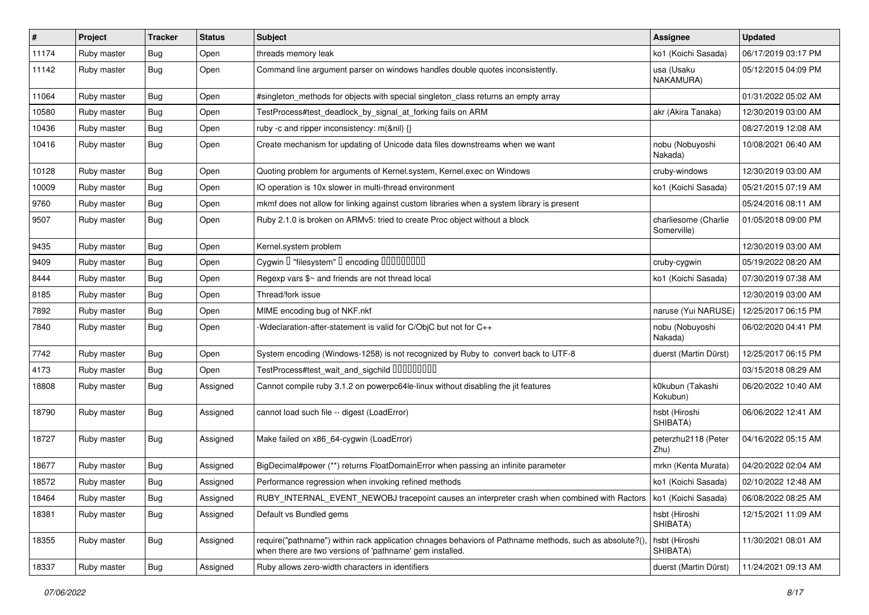| $\pmb{\#}$ | Project     | <b>Tracker</b> | <b>Status</b> | Subject                                                                                                                                                             | Assignee                            | <b>Updated</b>      |
|------------|-------------|----------------|---------------|---------------------------------------------------------------------------------------------------------------------------------------------------------------------|-------------------------------------|---------------------|
| 11174      | Ruby master | <b>Bug</b>     | Open          | threads memory leak                                                                                                                                                 | ko1 (Koichi Sasada)                 | 06/17/2019 03:17 PM |
| 11142      | Ruby master | <b>Bug</b>     | Open          | Command line argument parser on windows handles double quotes inconsistently.                                                                                       | usa (Usaku<br>NAKAMURA)             | 05/12/2015 04:09 PM |
| 11064      | Ruby master | <b>Bug</b>     | Open          | #singleton_methods for objects with special singleton_class returns an empty array                                                                                  |                                     | 01/31/2022 05:02 AM |
| 10580      | Ruby master | <b>Bug</b>     | Open          | TestProcess#test_deadlock_by_signal_at_forking fails on ARM                                                                                                         | akr (Akira Tanaka)                  | 12/30/2019 03:00 AM |
| 10436      | Ruby master | <b>Bug</b>     | Open          | ruby -c and ripper inconsistency: m(&nil) {}                                                                                                                        |                                     | 08/27/2019 12:08 AM |
| 10416      | Ruby master | Bug            | Open          | Create mechanism for updating of Unicode data files downstreams when we want                                                                                        | nobu (Nobuyoshi<br>Nakada)          | 10/08/2021 06:40 AM |
| 10128      | Ruby master | <b>Bug</b>     | Open          | Quoting problem for arguments of Kernel.system, Kernel.exec on Windows                                                                                              | cruby-windows                       | 12/30/2019 03:00 AM |
| 10009      | Ruby master | <b>Bug</b>     | Open          | IO operation is 10x slower in multi-thread environment                                                                                                              | ko1 (Koichi Sasada)                 | 05/21/2015 07:19 AM |
| 9760       | Ruby master | <b>Bug</b>     | Open          | mkmf does not allow for linking against custom libraries when a system library is present                                                                           |                                     | 05/24/2016 08:11 AM |
| 9507       | Ruby master | <b>Bug</b>     | Open          | Ruby 2.1.0 is broken on ARMv5: tried to create Proc object without a block                                                                                          | charliesome (Charlie<br>Somerville) | 01/05/2018 09:00 PM |
| 9435       | Ruby master | <b>Bug</b>     | Open          | Kernel.system problem                                                                                                                                               |                                     | 12/30/2019 03:00 AM |
| 9409       | Ruby master | <b>Bug</b>     | Open          | Cygwin I "filesystem" I encoding IIIIIIIIIIIII                                                                                                                      | cruby-cygwin                        | 05/19/2022 08:20 AM |
| 8444       | Ruby master | <b>Bug</b>     | Open          | Regexp vars \$~ and friends are not thread local                                                                                                                    | ko1 (Koichi Sasada)                 | 07/30/2019 07:38 AM |
| 8185       | Ruby master | <b>Bug</b>     | Open          | Thread/fork issue                                                                                                                                                   |                                     | 12/30/2019 03:00 AM |
| 7892       | Ruby master | <b>Bug</b>     | Open          | MIME encoding bug of NKF.nkf                                                                                                                                        | naruse (Yui NARUSE)                 | 12/25/2017 06:15 PM |
| 7840       | Ruby master | <b>Bug</b>     | Open          | -Wdeclaration-after-statement is valid for C/ObjC but not for C++                                                                                                   | nobu (Nobuyoshi<br>Nakada)          | 06/02/2020 04:41 PM |
| 7742       | Ruby master | <b>Bug</b>     | Open          | System encoding (Windows-1258) is not recognized by Ruby to convert back to UTF-8                                                                                   | duerst (Martin Dürst)               | 12/25/2017 06:15 PM |
| 4173       | Ruby master | <b>Bug</b>     | Open          | TestProcess#test_wait_and_sigchild DDDDDDDD                                                                                                                         |                                     | 03/15/2018 08:29 AM |
| 18808      | Ruby master | <b>Bug</b>     | Assigned      | Cannot compile ruby 3.1.2 on powerpc64le-linux without disabling the jit features                                                                                   | k0kubun (Takashi<br>Kokubun)        | 06/20/2022 10:40 AM |
| 18790      | Ruby master | <b>Bug</b>     | Assigned      | cannot load such file -- digest (LoadError)                                                                                                                         | hsbt (Hiroshi<br>SHIBATA)           | 06/06/2022 12:41 AM |
| 18727      | Ruby master | <b>Bug</b>     | Assigned      | Make failed on x86_64-cygwin (LoadError)                                                                                                                            | peterzhu2118 (Peter<br>Zhu)         | 04/16/2022 05:15 AM |
| 18677      | Ruby master | <b>Bug</b>     | Assigned      | BigDecimal#power (**) returns FloatDomainError when passing an infinite parameter                                                                                   | mrkn (Kenta Murata)                 | 04/20/2022 02:04 AM |
| 18572      | Ruby master | <b>Bug</b>     | Assigned      | Performance regression when invoking refined methods                                                                                                                | ko1 (Koichi Sasada)                 | 02/10/2022 12:48 AM |
| 18464      | Ruby master | <b>Bug</b>     | Assigned      | RUBY INTERNAL EVENT NEWOBJ tracepoint causes an interpreter crash when combined with Ractors                                                                        | ko1 (Koichi Sasada)                 | 06/08/2022 08:25 AM |
| 18381      | Ruby master | <b>Bug</b>     | Assigned      | Default vs Bundled gems                                                                                                                                             | hsbt (Hiroshi<br>SHIBATA)           | 12/15/2021 11:09 AM |
| 18355      | Ruby master | Bug            | Assigned      | require("pathname") within rack application chnages behaviors of Pathname methods, such as absolute?(),<br>when there are two versions of 'pathname' gem installed. | hsbt (Hiroshi<br>SHIBATA)           | 11/30/2021 08:01 AM |
| 18337      | Ruby master | <b>Bug</b>     | Assigned      | Ruby allows zero-width characters in identifiers                                                                                                                    | duerst (Martin Dürst)               | 11/24/2021 09:13 AM |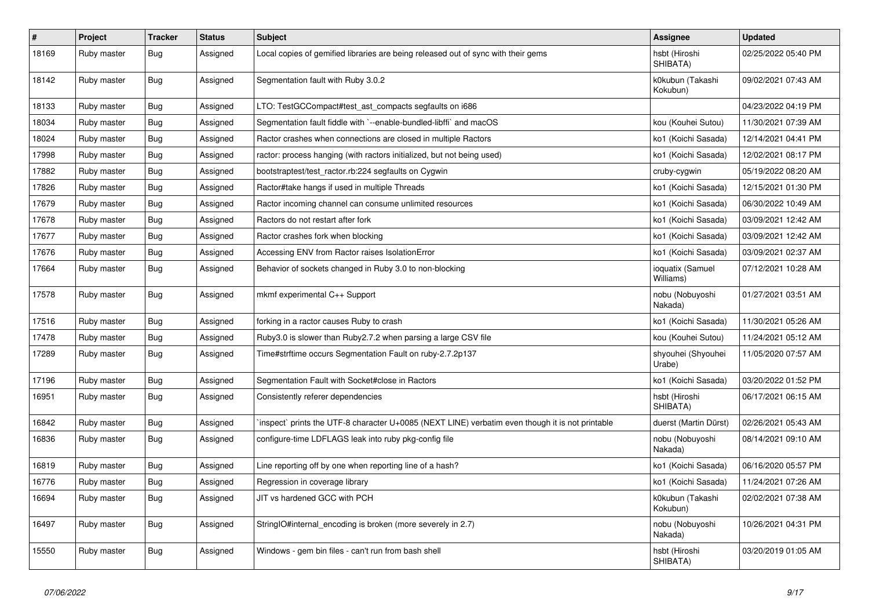| $\vert$ # | Project     | <b>Tracker</b> | <b>Status</b> | <b>Subject</b>                                                                                  | <b>Assignee</b>               | <b>Updated</b>      |
|-----------|-------------|----------------|---------------|-------------------------------------------------------------------------------------------------|-------------------------------|---------------------|
| 18169     | Ruby master | <b>Bug</b>     | Assigned      | Local copies of gemified libraries are being released out of sync with their gems               | hsbt (Hiroshi<br>SHIBATA)     | 02/25/2022 05:40 PM |
| 18142     | Ruby master | Bug            | Assigned      | Segmentation fault with Ruby 3.0.2                                                              | k0kubun (Takashi<br>Kokubun)  | 09/02/2021 07:43 AM |
| 18133     | Ruby master | <b>Bug</b>     | Assigned      | LTO: TestGCCompact#test_ast_compacts segfaults on i686                                          |                               | 04/23/2022 04:19 PM |
| 18034     | Ruby master | <b>Bug</b>     | Assigned      | Segmentation fault fiddle with `--enable-bundled-libffi` and macOS                              | kou (Kouhei Sutou)            | 11/30/2021 07:39 AM |
| 18024     | Ruby master | <b>Bug</b>     | Assigned      | Ractor crashes when connections are closed in multiple Ractors                                  | ko1 (Koichi Sasada)           | 12/14/2021 04:41 PM |
| 17998     | Ruby master | <b>Bug</b>     | Assigned      | ractor: process hanging (with ractors initialized, but not being used)                          | ko1 (Koichi Sasada)           | 12/02/2021 08:17 PM |
| 17882     | Ruby master | <b>Bug</b>     | Assigned      | bootstraptest/test_ractor.rb:224 segfaults on Cygwin                                            | cruby-cygwin                  | 05/19/2022 08:20 AM |
| 17826     | Ruby master | Bug            | Assigned      | Ractor#take hangs if used in multiple Threads                                                   | ko1 (Koichi Sasada)           | 12/15/2021 01:30 PM |
| 17679     | Ruby master | <b>Bug</b>     | Assigned      | Ractor incoming channel can consume unlimited resources                                         | ko1 (Koichi Sasada)           | 06/30/2022 10:49 AM |
| 17678     | Ruby master | <b>Bug</b>     | Assigned      | Ractors do not restart after fork                                                               | ko1 (Koichi Sasada)           | 03/09/2021 12:42 AM |
| 17677     | Ruby master | <b>Bug</b>     | Assigned      | Ractor crashes fork when blocking                                                               | ko1 (Koichi Sasada)           | 03/09/2021 12:42 AM |
| 17676     | Ruby master | Bug            | Assigned      | Accessing ENV from Ractor raises IsolationError                                                 | ko1 (Koichi Sasada)           | 03/09/2021 02:37 AM |
| 17664     | Ruby master | <b>Bug</b>     | Assigned      | Behavior of sockets changed in Ruby 3.0 to non-blocking                                         | ioquatix (Samuel<br>Williams) | 07/12/2021 10:28 AM |
| 17578     | Ruby master | <b>Bug</b>     | Assigned      | mkmf experimental C++ Support                                                                   | nobu (Nobuyoshi<br>Nakada)    | 01/27/2021 03:51 AM |
| 17516     | Ruby master | <b>Bug</b>     | Assigned      | forking in a ractor causes Ruby to crash                                                        | ko1 (Koichi Sasada)           | 11/30/2021 05:26 AM |
| 17478     | Ruby master | <b>Bug</b>     | Assigned      | Ruby3.0 is slower than Ruby2.7.2 when parsing a large CSV file                                  | kou (Kouhei Sutou)            | 11/24/2021 05:12 AM |
| 17289     | Ruby master | Bug            | Assigned      | Time#strftime occurs Segmentation Fault on ruby-2.7.2p137                                       | shyouhei (Shyouhei<br>Urabe)  | 11/05/2020 07:57 AM |
| 17196     | Ruby master | <b>Bug</b>     | Assigned      | Segmentation Fault with Socket#close in Ractors                                                 | ko1 (Koichi Sasada)           | 03/20/2022 01:52 PM |
| 16951     | Ruby master | <b>Bug</b>     | Assigned      | Consistently referer dependencies                                                               | hsbt (Hiroshi<br>SHIBATA)     | 06/17/2021 06:15 AM |
| 16842     | Ruby master | <b>Bug</b>     | Assigned      | inspect` prints the UTF-8 character U+0085 (NEXT LINE) verbatim even though it is not printable | duerst (Martin Dürst)         | 02/26/2021 05:43 AM |
| 16836     | Ruby master | <b>Bug</b>     | Assigned      | configure-time LDFLAGS leak into ruby pkg-config file                                           | nobu (Nobuyoshi<br>Nakada)    | 08/14/2021 09:10 AM |
| 16819     | Ruby master | <b>Bug</b>     | Assigned      | Line reporting off by one when reporting line of a hash?                                        | ko1 (Koichi Sasada)           | 06/16/2020 05:57 PM |
| 16776     | Ruby master | <b>Bug</b>     | Assigned      | Regression in coverage library                                                                  | ko1 (Koichi Sasada)           | 11/24/2021 07:26 AM |
| 16694     | Ruby master | <b>Bug</b>     | Assigned      | JIT vs hardened GCC with PCH                                                                    | k0kubun (Takashi<br>Kokubun)  | 02/02/2021 07:38 AM |
| 16497     | Ruby master | <b>Bug</b>     | Assigned      | StringIO#internal encoding is broken (more severely in 2.7)                                     | nobu (Nobuyoshi<br>Nakada)    | 10/26/2021 04:31 PM |
| 15550     | Ruby master | Bug            | Assigned      | Windows - gem bin files - can't run from bash shell                                             | hsbt (Hiroshi<br>SHIBATA)     | 03/20/2019 01:05 AM |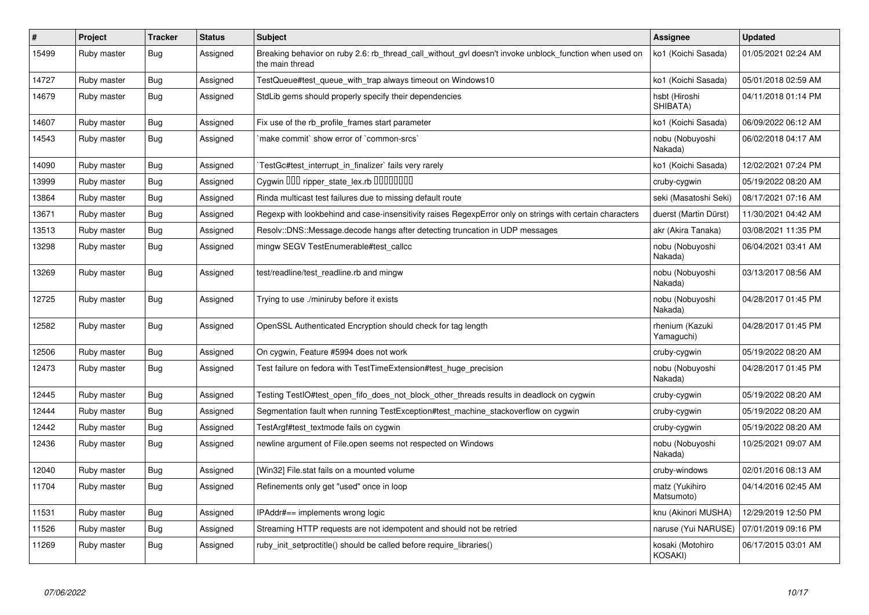| $\sharp$ | Project     | <b>Tracker</b> | <b>Status</b> | <b>Subject</b>                                                                                                            | <b>Assignee</b>               | <b>Updated</b>      |
|----------|-------------|----------------|---------------|---------------------------------------------------------------------------------------------------------------------------|-------------------------------|---------------------|
| 15499    | Ruby master | Bug            | Assigned      | Breaking behavior on ruby 2.6: rb thread call without gyl doesn't invoke unblock function when used on<br>the main thread | ko1 (Koichi Sasada)           | 01/05/2021 02:24 AM |
| 14727    | Ruby master | Bug            | Assigned      | TestQueue#test_queue_with_trap always timeout on Windows10                                                                | ko1 (Koichi Sasada)           | 05/01/2018 02:59 AM |
| 14679    | Ruby master | Bug            | Assigned      | StdLib gems should properly specify their dependencies                                                                    | hsbt (Hiroshi<br>SHIBATA)     | 04/11/2018 01:14 PM |
| 14607    | Ruby master | Bug            | Assigned      | Fix use of the rb profile frames start parameter                                                                          | ko1 (Koichi Sasada)           | 06/09/2022 06:12 AM |
| 14543    | Ruby master | <b>Bug</b>     | Assigned      | 'make commit' show error of 'common-srcs'                                                                                 | nobu (Nobuyoshi<br>Nakada)    | 06/02/2018 04:17 AM |
| 14090    | Ruby master | Bug            | Assigned      | TestGc#test interrupt in finalizer` fails very rarely                                                                     | ko1 (Koichi Sasada)           | 12/02/2021 07:24 PM |
| 13999    | Ruby master | <b>Bug</b>     | Assigned      | Cygwin DDD ripper_state_lex.rb DDDDDDDD                                                                                   | cruby-cygwin                  | 05/19/2022 08:20 AM |
| 13864    | Ruby master | <b>Bug</b>     | Assigned      | Rinda multicast test failures due to missing default route                                                                | seki (Masatoshi Seki)         | 08/17/2021 07:16 AM |
| 13671    | Ruby master | Bug            | Assigned      | Regexp with lookbehind and case-insensitivity raises RegexpError only on strings with certain characters                  | duerst (Martin Dürst)         | 11/30/2021 04:42 AM |
| 13513    | Ruby master | <b>Bug</b>     | Assigned      | Resolv::DNS::Message.decode hangs after detecting truncation in UDP messages                                              | akr (Akira Tanaka)            | 03/08/2021 11:35 PM |
| 13298    | Ruby master | <b>Bug</b>     | Assigned      | mingw SEGV TestEnumerable#test_callcc                                                                                     | nobu (Nobuyoshi<br>Nakada)    | 06/04/2021 03:41 AM |
| 13269    | Ruby master | <b>Bug</b>     | Assigned      | test/readline/test readline.rb and mingw                                                                                  | nobu (Nobuyoshi<br>Nakada)    | 03/13/2017 08:56 AM |
| 12725    | Ruby master | Bug            | Assigned      | Trying to use ./miniruby before it exists                                                                                 | nobu (Nobuyoshi<br>Nakada)    | 04/28/2017 01:45 PM |
| 12582    | Ruby master | <b>Bug</b>     | Assigned      | OpenSSL Authenticated Encryption should check for tag length                                                              | rhenium (Kazuki<br>Yamaguchi) | 04/28/2017 01:45 PM |
| 12506    | Ruby master | <b>Bug</b>     | Assigned      | On cygwin, Feature #5994 does not work                                                                                    | cruby-cygwin                  | 05/19/2022 08:20 AM |
| 12473    | Ruby master | Bug            | Assigned      | Test failure on fedora with TestTimeExtension#test huge precision                                                         | nobu (Nobuyoshi<br>Nakada)    | 04/28/2017 01:45 PM |
| 12445    | Ruby master | <b>Bug</b>     | Assigned      | Testing TestlO#test_open_fifo_does_not_block_other_threads results in deadlock on cygwin                                  | cruby-cygwin                  | 05/19/2022 08:20 AM |
| 12444    | Ruby master | Bug            | Assigned      | Segmentation fault when running TestException#test machine stackoverflow on cygwin                                        | cruby-cygwin                  | 05/19/2022 08:20 AM |
| 12442    | Ruby master | <b>Bug</b>     | Assigned      | TestArgf#test_textmode fails on cygwin                                                                                    | cruby-cygwin                  | 05/19/2022 08:20 AM |
| 12436    | Ruby master | Bug            | Assigned      | newline argument of File.open seems not respected on Windows                                                              | nobu (Nobuyoshi<br>Nakada)    | 10/25/2021 09:07 AM |
| 12040    | Ruby master | <b>Bug</b>     | Assigned      | [Win32] File.stat fails on a mounted volume                                                                               | cruby-windows                 | 02/01/2016 08:13 AM |
| 11704    | Ruby master | Bug            | Assigned      | Refinements only get "used" once in loop                                                                                  | matz (Yukihiro<br>Matsumoto)  | 04/14/2016 02:45 AM |
| 11531    | Ruby master | Bug            | Assigned      | IPAddr#== implements wrong logic                                                                                          | knu (Akinori MUSHA)           | 12/29/2019 12:50 PM |
| 11526    | Ruby master | Bug            | Assigned      | Streaming HTTP requests are not idempotent and should not be retried                                                      | naruse (Yui NARUSE)           | 07/01/2019 09:16 PM |
| 11269    | Ruby master | <b>Bug</b>     | Assigned      | ruby_init_setproctitle() should be called before require_libraries()                                                      | kosaki (Motohiro<br>KOSAKI)   | 06/17/2015 03:01 AM |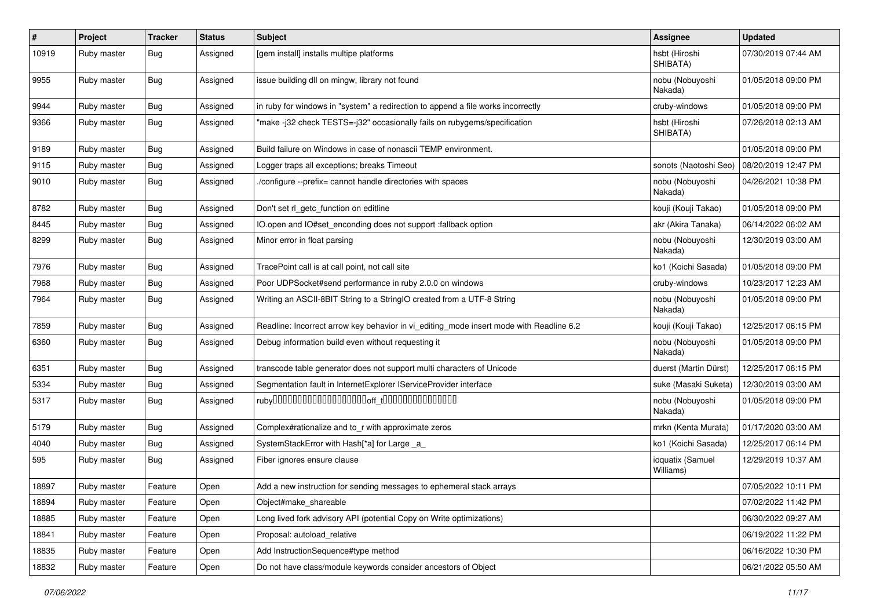| $\sharp$ | Project     | <b>Tracker</b> | <b>Status</b> | Subject                                                                                 | <b>Assignee</b>               | <b>Updated</b>      |
|----------|-------------|----------------|---------------|-----------------------------------------------------------------------------------------|-------------------------------|---------------------|
| 10919    | Ruby master | Bug            | Assigned      | [gem install] installs multipe platforms                                                | hsbt (Hiroshi<br>SHIBATA)     | 07/30/2019 07:44 AM |
| 9955     | Ruby master | <b>Bug</b>     | Assigned      | issue building dll on mingw, library not found                                          | nobu (Nobuyoshi<br>Nakada)    | 01/05/2018 09:00 PM |
| 9944     | Ruby master | <b>Bug</b>     | Assigned      | in ruby for windows in "system" a redirection to append a file works incorrectly        | cruby-windows                 | 01/05/2018 09:00 PM |
| 9366     | Ruby master | <b>Bug</b>     | Assigned      | 'make-j32 check TESTS=-j32" occasionally fails on rubygems/specification                | hsbt (Hiroshi<br>SHIBATA)     | 07/26/2018 02:13 AM |
| 9189     | Ruby master | Bug            | Assigned      | Build failure on Windows in case of nonascii TEMP environment.                          |                               | 01/05/2018 09:00 PM |
| 9115     | Ruby master | <b>Bug</b>     | Assigned      | Logger traps all exceptions; breaks Timeout                                             | sonots (Naotoshi Seo)         | 08/20/2019 12:47 PM |
| 9010     | Ruby master | <b>Bug</b>     | Assigned      | /configure --prefix= cannot handle directories with spaces                              | nobu (Nobuyoshi<br>Nakada)    | 04/26/2021 10:38 PM |
| 8782     | Ruby master | <b>Bug</b>     | Assigned      | Don't set rl_getc_function on editline                                                  | kouji (Kouji Takao)           | 01/05/2018 09:00 PM |
| 8445     | Ruby master | Bug            | Assigned      | IO.open and IO#set_enconding does not support :fallback option                          | akr (Akira Tanaka)            | 06/14/2022 06:02 AM |
| 8299     | Ruby master | Bug            | Assigned      | Minor error in float parsing                                                            | nobu (Nobuyoshi<br>Nakada)    | 12/30/2019 03:00 AM |
| 7976     | Ruby master | <b>Bug</b>     | Assigned      | TracePoint call is at call point, not call site                                         | ko1 (Koichi Sasada)           | 01/05/2018 09:00 PM |
| 7968     | Ruby master | Bug            | Assigned      | Poor UDPSocket#send performance in ruby 2.0.0 on windows                                | cruby-windows                 | 10/23/2017 12:23 AM |
| 7964     | Ruby master | <b>Bug</b>     | Assigned      | Writing an ASCII-8BIT String to a StringIO created from a UTF-8 String                  | nobu (Nobuyoshi<br>Nakada)    | 01/05/2018 09:00 PM |
| 7859     | Ruby master | <b>Bug</b>     | Assigned      | Readline: Incorrect arrow key behavior in vi_editing_mode insert mode with Readline 6.2 | kouji (Kouji Takao)           | 12/25/2017 06:15 PM |
| 6360     | Ruby master | <b>Bug</b>     | Assigned      | Debug information build even without requesting it                                      | nobu (Nobuyoshi<br>Nakada)    | 01/05/2018 09:00 PM |
| 6351     | Ruby master | <b>Bug</b>     | Assigned      | transcode table generator does not support multi characters of Unicode                  | duerst (Martin Dürst)         | 12/25/2017 06:15 PM |
| 5334     | Ruby master | <b>Bug</b>     | Assigned      | Segmentation fault in InternetExplorer IServiceProvider interface                       | suke (Masaki Suketa)          | 12/30/2019 03:00 AM |
| 5317     | Ruby master | Bug            | Assigned      |                                                                                         | nobu (Nobuyoshi<br>Nakada)    | 01/05/2018 09:00 PM |
| 5179     | Ruby master | <b>Bug</b>     | Assigned      | Complex#rationalize and to_r with approximate zeros                                     | mrkn (Kenta Murata)           | 01/17/2020 03:00 AM |
| 4040     | Ruby master | Bug            | Assigned      | SystemStackError with Hash[*a] for Large _a_                                            | ko1 (Koichi Sasada)           | 12/25/2017 06:14 PM |
| 595      | Ruby master | <b>Bug</b>     | Assigned      | Fiber ignores ensure clause                                                             | ioquatix (Samuel<br>Williams) | 12/29/2019 10:37 AM |
| 18897    | Ruby master | Feature        | Open          | Add a new instruction for sending messages to ephemeral stack arrays                    |                               | 07/05/2022 10:11 PM |
| 18894    | Ruby master | Feature        | Open          | Object#make shareable                                                                   |                               | 07/02/2022 11:42 PM |
| 18885    | Ruby master | Feature        | Open          | Long lived fork advisory API (potential Copy on Write optimizations)                    |                               | 06/30/2022 09:27 AM |
| 18841    | Ruby master | Feature        | Open          | Proposal: autoload_relative                                                             |                               | 06/19/2022 11:22 PM |
| 18835    | Ruby master | Feature        | Open          | Add InstructionSequence#type method                                                     |                               | 06/16/2022 10:30 PM |
| 18832    | Ruby master | Feature        | Open          | Do not have class/module keywords consider ancestors of Object                          |                               | 06/21/2022 05:50 AM |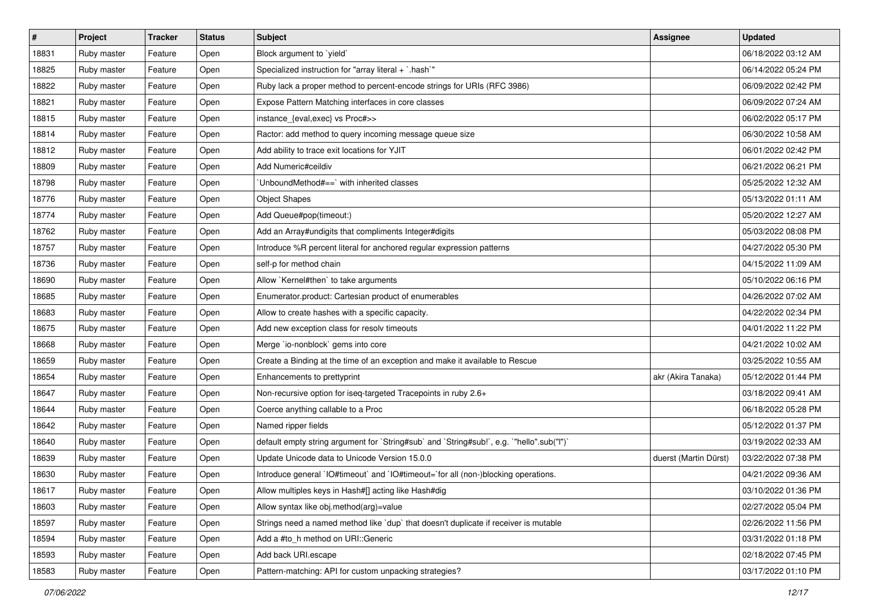| $\pmb{\#}$ | Project     | <b>Tracker</b> | <b>Status</b> | <b>Subject</b>                                                                            | <b>Assignee</b>       | <b>Updated</b>      |
|------------|-------------|----------------|---------------|-------------------------------------------------------------------------------------------|-----------------------|---------------------|
| 18831      | Ruby master | Feature        | Open          | Block argument to `yield`                                                                 |                       | 06/18/2022 03:12 AM |
| 18825      | Ruby master | Feature        | Open          | Specialized instruction for "array literal + `.hash`"                                     |                       | 06/14/2022 05:24 PM |
| 18822      | Ruby master | Feature        | Open          | Ruby lack a proper method to percent-encode strings for URIs (RFC 3986)                   |                       | 06/09/2022 02:42 PM |
| 18821      | Ruby master | Feature        | Open          | Expose Pattern Matching interfaces in core classes                                        |                       | 06/09/2022 07:24 AM |
| 18815      | Ruby master | Feature        | Open          | instance_{eval,exec} vs Proc#>>                                                           |                       | 06/02/2022 05:17 PM |
| 18814      | Ruby master | Feature        | Open          | Ractor: add method to query incoming message queue size                                   |                       | 06/30/2022 10:58 AM |
| 18812      | Ruby master | Feature        | Open          | Add ability to trace exit locations for YJIT                                              |                       | 06/01/2022 02:42 PM |
| 18809      | Ruby master | Feature        | Open          | Add Numeric#ceildiv                                                                       |                       | 06/21/2022 06:21 PM |
| 18798      | Ruby master | Feature        | Open          | UnboundMethod#==`with inherited classes                                                   |                       | 05/25/2022 12:32 AM |
| 18776      | Ruby master | Feature        | Open          | <b>Object Shapes</b>                                                                      |                       | 05/13/2022 01:11 AM |
| 18774      | Ruby master | Feature        | Open          | Add Queue#pop(timeout:)                                                                   |                       | 05/20/2022 12:27 AM |
| 18762      | Ruby master | Feature        | Open          | Add an Array#undigits that compliments Integer#digits                                     |                       | 05/03/2022 08:08 PM |
| 18757      | Ruby master | Feature        | Open          | Introduce %R percent literal for anchored regular expression patterns                     |                       | 04/27/2022 05:30 PM |
| 18736      | Ruby master | Feature        | Open          | self-p for method chain                                                                   |                       | 04/15/2022 11:09 AM |
| 18690      | Ruby master | Feature        | Open          | Allow `Kernel#then` to take arguments                                                     |                       | 05/10/2022 06:16 PM |
| 18685      | Ruby master | Feature        | Open          | Enumerator.product: Cartesian product of enumerables                                      |                       | 04/26/2022 07:02 AM |
| 18683      | Ruby master | Feature        | Open          | Allow to create hashes with a specific capacity.                                          |                       | 04/22/2022 02:34 PM |
| 18675      | Ruby master | Feature        | Open          | Add new exception class for resolv timeouts                                               |                       | 04/01/2022 11:22 PM |
| 18668      | Ruby master | Feature        | Open          | Merge `io-nonblock` gems into core                                                        |                       | 04/21/2022 10:02 AM |
| 18659      | Ruby master | Feature        | Open          | Create a Binding at the time of an exception and make it available to Rescue              |                       | 03/25/2022 10:55 AM |
| 18654      | Ruby master | Feature        | Open          | Enhancements to prettyprint                                                               | akr (Akira Tanaka)    | 05/12/2022 01:44 PM |
| 18647      | Ruby master | Feature        | Open          | Non-recursive option for iseq-targeted Tracepoints in ruby 2.6+                           |                       | 03/18/2022 09:41 AM |
| 18644      | Ruby master | Feature        | Open          | Coerce anything callable to a Proc                                                        |                       | 06/18/2022 05:28 PM |
| 18642      | Ruby master | Feature        | Open          | Named ripper fields                                                                       |                       | 05/12/2022 01:37 PM |
| 18640      | Ruby master | Feature        | Open          | default empty string argument for `String#sub` and `String#sub!`, e.g. `"hello".sub("I")` |                       | 03/19/2022 02:33 AM |
| 18639      | Ruby master | Feature        | Open          | Update Unicode data to Unicode Version 15.0.0                                             | duerst (Martin Dürst) | 03/22/2022 07:38 PM |
| 18630      | Ruby master | Feature        | Open          | Introduce general `IO#timeout` and `IO#timeout=`for all (non-)blocking operations.        |                       | 04/21/2022 09:36 AM |
| 18617      | Ruby master | Feature        | Open          | Allow multiples keys in Hash#[] acting like Hash#dig                                      |                       | 03/10/2022 01:36 PM |
| 18603      | Ruby master | Feature        | Open          | Allow syntax like obj.method(arg)=value                                                   |                       | 02/27/2022 05:04 PM |
| 18597      | Ruby master | Feature        | Open          | Strings need a named method like `dup` that doesn't duplicate if receiver is mutable      |                       | 02/26/2022 11:56 PM |
| 18594      | Ruby master | Feature        | Open          | Add a #to_h method on URI::Generic                                                        |                       | 03/31/2022 01:18 PM |
| 18593      | Ruby master | Feature        | Open          | Add back URI.escape                                                                       |                       | 02/18/2022 07:45 PM |
| 18583      | Ruby master | Feature        | Open          | Pattern-matching: API for custom unpacking strategies?                                    |                       | 03/17/2022 01:10 PM |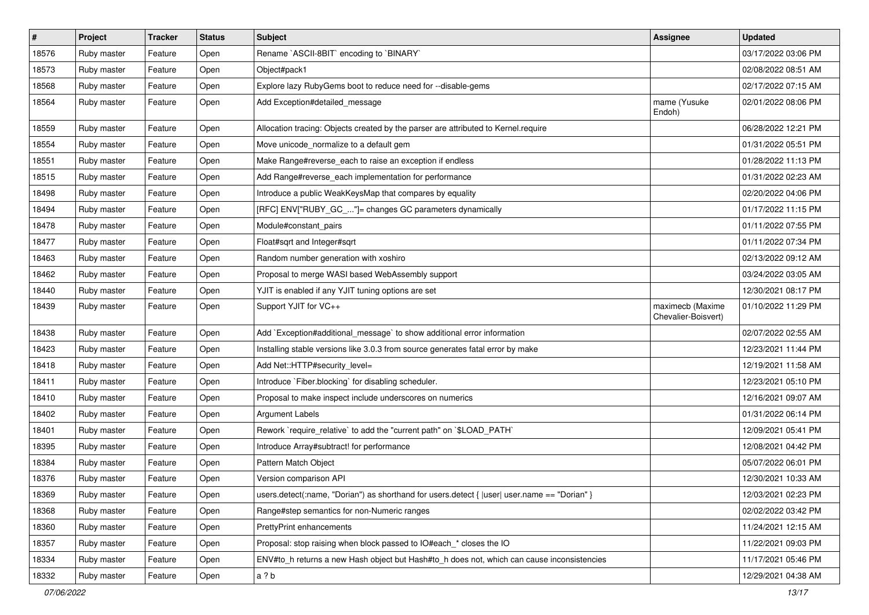| $\vert$ # | Project     | <b>Tracker</b> | <b>Status</b> | <b>Subject</b>                                                                                 | <b>Assignee</b>                         | <b>Updated</b>      |
|-----------|-------------|----------------|---------------|------------------------------------------------------------------------------------------------|-----------------------------------------|---------------------|
| 18576     | Ruby master | Feature        | Open          | Rename `ASCII-8BIT` encoding to `BINARY`                                                       |                                         | 03/17/2022 03:06 PM |
| 18573     | Ruby master | Feature        | Open          | Object#pack1                                                                                   |                                         | 02/08/2022 08:51 AM |
| 18568     | Ruby master | Feature        | Open          | Explore lazy RubyGems boot to reduce need for --disable-gems                                   |                                         | 02/17/2022 07:15 AM |
| 18564     | Ruby master | Feature        | Open          | Add Exception#detailed_message                                                                 | mame (Yusuke<br>Endoh)                  | 02/01/2022 08:06 PM |
| 18559     | Ruby master | Feature        | Open          | Allocation tracing: Objects created by the parser are attributed to Kernel.require             |                                         | 06/28/2022 12:21 PM |
| 18554     | Ruby master | Feature        | Open          | Move unicode_normalize to a default gem                                                        |                                         | 01/31/2022 05:51 PM |
| 18551     | Ruby master | Feature        | Open          | Make Range#reverse_each to raise an exception if endless                                       |                                         | 01/28/2022 11:13 PM |
| 18515     | Ruby master | Feature        | Open          | Add Range#reverse_each implementation for performance                                          |                                         | 01/31/2022 02:23 AM |
| 18498     | Ruby master | Feature        | Open          | Introduce a public WeakKeysMap that compares by equality                                       |                                         | 02/20/2022 04:06 PM |
| 18494     | Ruby master | Feature        | Open          | [RFC] ENV["RUBY_GC_"]= changes GC parameters dynamically                                       |                                         | 01/17/2022 11:15 PM |
| 18478     | Ruby master | Feature        | Open          | Module#constant_pairs                                                                          |                                         | 01/11/2022 07:55 PM |
| 18477     | Ruby master | Feature        | Open          | Float#sqrt and Integer#sqrt                                                                    |                                         | 01/11/2022 07:34 PM |
| 18463     | Ruby master | Feature        | Open          | Random number generation with xoshiro                                                          |                                         | 02/13/2022 09:12 AM |
| 18462     | Ruby master | Feature        | Open          | Proposal to merge WASI based WebAssembly support                                               |                                         | 03/24/2022 03:05 AM |
| 18440     | Ruby master | Feature        | Open          | YJIT is enabled if any YJIT tuning options are set                                             |                                         | 12/30/2021 08:17 PM |
| 18439     | Ruby master | Feature        | Open          | Support YJIT for VC++                                                                          | maximecb (Maxime<br>Chevalier-Boisvert) | 01/10/2022 11:29 PM |
| 18438     | Ruby master | Feature        | Open          | Add `Exception#additional_message` to show additional error information                        |                                         | 02/07/2022 02:55 AM |
| 18423     | Ruby master | Feature        | Open          | Installing stable versions like 3.0.3 from source generates fatal error by make                |                                         | 12/23/2021 11:44 PM |
| 18418     | Ruby master | Feature        | Open          | Add Net::HTTP#security_level=                                                                  |                                         | 12/19/2021 11:58 AM |
| 18411     | Ruby master | Feature        | Open          | Introduce `Fiber.blocking` for disabling scheduler.                                            |                                         | 12/23/2021 05:10 PM |
| 18410     | Ruby master | Feature        | Open          | Proposal to make inspect include underscores on numerics                                       |                                         | 12/16/2021 09:07 AM |
| 18402     | Ruby master | Feature        | Open          | <b>Argument Labels</b>                                                                         |                                         | 01/31/2022 06:14 PM |
| 18401     | Ruby master | Feature        | Open          | Rework `require_relative` to add the "current path" on `\$LOAD_PATH`                           |                                         | 12/09/2021 05:41 PM |
| 18395     | Ruby master | Feature        | Open          | Introduce Array#subtract! for performance                                                      |                                         | 12/08/2021 04:42 PM |
| 18384     | Ruby master | Feature        | Open          | Pattern Match Object                                                                           |                                         | 05/07/2022 06:01 PM |
| 18376     | Ruby master | Feature        | Open          | Version comparison API                                                                         |                                         | 12/30/2021 10:33 AM |
| 18369     | Ruby master | Feature        | Open          | users.detect(:name, "Dorian") as shorthand for users.detect { $ user $ user.name == "Dorian" } |                                         | 12/03/2021 02:23 PM |
| 18368     | Ruby master | Feature        | Open          | Range#step semantics for non-Numeric ranges                                                    |                                         | 02/02/2022 03:42 PM |
| 18360     | Ruby master | Feature        | Open          | PrettyPrint enhancements                                                                       |                                         | 11/24/2021 12:15 AM |
| 18357     | Ruby master | Feature        | Open          | Proposal: stop raising when block passed to IO#each * closes the IO                            |                                         | 11/22/2021 09:03 PM |
| 18334     | Ruby master | Feature        | Open          | ENV#to_h returns a new Hash object but Hash#to_h does not, which can cause inconsistencies     |                                         | 11/17/2021 05:46 PM |
| 18332     | Ruby master | Feature        | Open          | a?b                                                                                            |                                         | 12/29/2021 04:38 AM |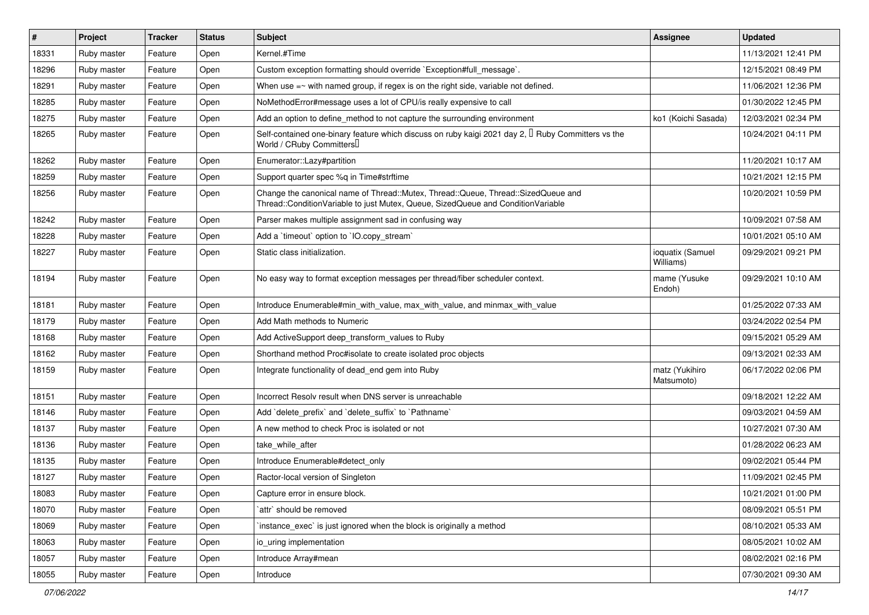| $\vert$ # | Project     | <b>Tracker</b> | <b>Status</b> | Subject                                                                                                                                                               | Assignee                      | <b>Updated</b>      |
|-----------|-------------|----------------|---------------|-----------------------------------------------------------------------------------------------------------------------------------------------------------------------|-------------------------------|---------------------|
| 18331     | Ruby master | Feature        | Open          | Kernel.#Time                                                                                                                                                          |                               | 11/13/2021 12:41 PM |
| 18296     | Ruby master | Feature        | Open          | Custom exception formatting should override `Exception#full_message`.                                                                                                 |                               | 12/15/2021 08:49 PM |
| 18291     | Ruby master | Feature        | Open          | When use $=\sim$ with named group, if regex is on the right side, variable not defined.                                                                               |                               | 11/06/2021 12:36 PM |
| 18285     | Ruby master | Feature        | Open          | NoMethodError#message uses a lot of CPU/is really expensive to call                                                                                                   |                               | 01/30/2022 12:45 PM |
| 18275     | Ruby master | Feature        | Open          | Add an option to define_method to not capture the surrounding environment                                                                                             | ko1 (Koichi Sasada)           | 12/03/2021 02:34 PM |
| 18265     | Ruby master | Feature        | Open          | Self-contained one-binary feature which discuss on ruby kaigi 2021 day 2, $\Box$ Ruby Committers vs the<br>World / CRuby Committers                                   |                               | 10/24/2021 04:11 PM |
| 18262     | Ruby master | Feature        | Open          | Enumerator::Lazy#partition                                                                                                                                            |                               | 11/20/2021 10:17 AM |
| 18259     | Ruby master | Feature        | Open          | Support quarter spec %q in Time#strftime                                                                                                                              |                               | 10/21/2021 12:15 PM |
| 18256     | Ruby master | Feature        | Open          | Change the canonical name of Thread::Mutex, Thread::Queue, Thread::SizedQueue and<br>Thread::ConditionVariable to just Mutex, Queue, SizedQueue and ConditionVariable |                               | 10/20/2021 10:59 PM |
| 18242     | Ruby master | Feature        | Open          | Parser makes multiple assignment sad in confusing way                                                                                                                 |                               | 10/09/2021 07:58 AM |
| 18228     | Ruby master | Feature        | Open          | Add a 'timeout' option to 'IO.copy_stream'                                                                                                                            |                               | 10/01/2021 05:10 AM |
| 18227     | Ruby master | Feature        | Open          | Static class initialization.                                                                                                                                          | ioquatix (Samuel<br>Williams) | 09/29/2021 09:21 PM |
| 18194     | Ruby master | Feature        | Open          | No easy way to format exception messages per thread/fiber scheduler context.                                                                                          | mame (Yusuke)<br>Endoh)       | 09/29/2021 10:10 AM |
| 18181     | Ruby master | Feature        | Open          | Introduce Enumerable#min_with_value, max_with_value, and minmax_with_value                                                                                            |                               | 01/25/2022 07:33 AM |
| 18179     | Ruby master | Feature        | Open          | Add Math methods to Numeric                                                                                                                                           |                               | 03/24/2022 02:54 PM |
| 18168     | Ruby master | Feature        | Open          | Add ActiveSupport deep_transform_values to Ruby                                                                                                                       |                               | 09/15/2021 05:29 AM |
| 18162     | Ruby master | Feature        | Open          | Shorthand method Proc#isolate to create isolated proc objects                                                                                                         |                               | 09/13/2021 02:33 AM |
| 18159     | Ruby master | Feature        | Open          | Integrate functionality of dead_end gem into Ruby                                                                                                                     | matz (Yukihiro<br>Matsumoto)  | 06/17/2022 02:06 PM |
| 18151     | Ruby master | Feature        | Open          | Incorrect Resoly result when DNS server is unreachable                                                                                                                |                               | 09/18/2021 12:22 AM |
| 18146     | Ruby master | Feature        | Open          | Add 'delete_prefix' and 'delete_suffix' to 'Pathname'                                                                                                                 |                               | 09/03/2021 04:59 AM |
| 18137     | Ruby master | Feature        | Open          | A new method to check Proc is isolated or not                                                                                                                         |                               | 10/27/2021 07:30 AM |
| 18136     | Ruby master | Feature        | Open          | take while after                                                                                                                                                      |                               | 01/28/2022 06:23 AM |
| 18135     | Ruby master | Feature        | Open          | Introduce Enumerable#detect_only                                                                                                                                      |                               | 09/02/2021 05:44 PM |
| 18127     | Ruby master | Feature        | Open          | Ractor-local version of Singleton                                                                                                                                     |                               | 11/09/2021 02:45 PM |
| 18083     | Ruby master | Feature        | Open          | Capture error in ensure block.                                                                                                                                        |                               | 10/21/2021 01:00 PM |
| 18070     | Ruby master | Feature        | Open          | `attr` should be removed                                                                                                                                              |                               | 08/09/2021 05:51 PM |
| 18069     | Ruby master | Feature        | Open          | instance exec' is just ignored when the block is originally a method                                                                                                  |                               | 08/10/2021 05:33 AM |
| 18063     | Ruby master | Feature        | Open          | io_uring implementation                                                                                                                                               |                               | 08/05/2021 10:02 AM |
| 18057     | Ruby master | Feature        | Open          | Introduce Array#mean                                                                                                                                                  |                               | 08/02/2021 02:16 PM |
| 18055     | Ruby master | Feature        | Open          | Introduce                                                                                                                                                             |                               | 07/30/2021 09:30 AM |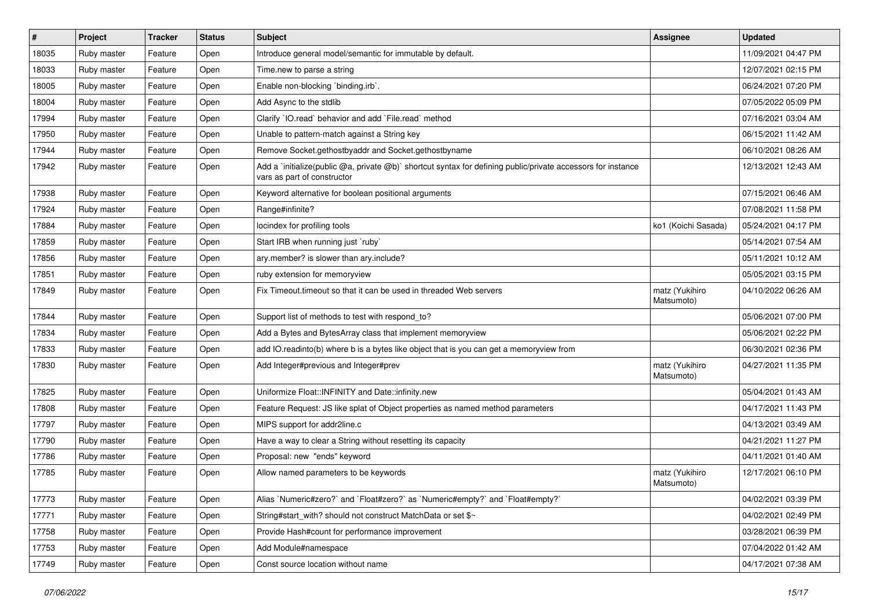| $\sharp$ | Project     | <b>Tracker</b> | <b>Status</b> | Subject                                                                                                                                     | Assignee                     | <b>Updated</b>      |
|----------|-------------|----------------|---------------|---------------------------------------------------------------------------------------------------------------------------------------------|------------------------------|---------------------|
| 18035    | Ruby master | Feature        | Open          | Introduce general model/semantic for immutable by default.                                                                                  |                              | 11/09/2021 04:47 PM |
| 18033    | Ruby master | Feature        | Open          | Time.new to parse a string                                                                                                                  |                              | 12/07/2021 02:15 PM |
| 18005    | Ruby master | Feature        | Open          | Enable non-blocking 'binding.irb'.                                                                                                          |                              | 06/24/2021 07:20 PM |
| 18004    | Ruby master | Feature        | Open          | Add Async to the stdlib                                                                                                                     |                              | 07/05/2022 05:09 PM |
| 17994    | Ruby master | Feature        | Open          | Clarify 'IO.read' behavior and add 'File.read' method                                                                                       |                              | 07/16/2021 03:04 AM |
| 17950    | Ruby master | Feature        | Open          | Unable to pattern-match against a String key                                                                                                |                              | 06/15/2021 11:42 AM |
| 17944    | Ruby master | Feature        | Open          | Remove Socket.gethostbyaddr and Socket.gethostbyname                                                                                        |                              | 06/10/2021 08:26 AM |
| 17942    | Ruby master | Feature        | Open          | Add a `initialize(public @a, private @b)` shortcut syntax for defining public/private accessors for instance<br>vars as part of constructor |                              | 12/13/2021 12:43 AM |
| 17938    | Ruby master | Feature        | Open          | Keyword alternative for boolean positional arguments                                                                                        |                              | 07/15/2021 06:46 AM |
| 17924    | Ruby master | Feature        | Open          | Range#infinite?                                                                                                                             |                              | 07/08/2021 11:58 PM |
| 17884    | Ruby master | Feature        | Open          | locindex for profiling tools                                                                                                                | ko1 (Koichi Sasada)          | 05/24/2021 04:17 PM |
| 17859    | Ruby master | Feature        | Open          | Start IRB when running just `ruby`                                                                                                          |                              | 05/14/2021 07:54 AM |
| 17856    | Ruby master | Feature        | Open          | ary.member? is slower than ary.include?                                                                                                     |                              | 05/11/2021 10:12 AM |
| 17851    | Ruby master | Feature        | Open          | ruby extension for memoryview                                                                                                               |                              | 05/05/2021 03:15 PM |
| 17849    | Ruby master | Feature        | Open          | Fix Timeout timeout so that it can be used in threaded Web servers                                                                          | matz (Yukihiro<br>Matsumoto) | 04/10/2022 06:26 AM |
| 17844    | Ruby master | Feature        | Open          | Support list of methods to test with respond_to?                                                                                            |                              | 05/06/2021 07:00 PM |
| 17834    | Ruby master | Feature        | Open          | Add a Bytes and BytesArray class that implement memoryview                                                                                  |                              | 05/06/2021 02:22 PM |
| 17833    | Ruby master | Feature        | Open          | add IO.readinto(b) where b is a bytes like object that is you can get a memoryview from                                                     |                              | 06/30/2021 02:36 PM |
| 17830    | Ruby master | Feature        | Open          | Add Integer#previous and Integer#prev                                                                                                       | matz (Yukihiro<br>Matsumoto) | 04/27/2021 11:35 PM |
| 17825    | Ruby master | Feature        | Open          | Uniformize Float::INFINITY and Date::infinity.new                                                                                           |                              | 05/04/2021 01:43 AM |
| 17808    | Ruby master | Feature        | Open          | Feature Request: JS like splat of Object properties as named method parameters                                                              |                              | 04/17/2021 11:43 PM |
| 17797    | Ruby master | Feature        | Open          | MIPS support for addr2line.c                                                                                                                |                              | 04/13/2021 03:49 AM |
| 17790    | Ruby master | Feature        | Open          | Have a way to clear a String without resetting its capacity                                                                                 |                              | 04/21/2021 11:27 PM |
| 17786    | Ruby master | Feature        | Open          | Proposal: new "ends" keyword                                                                                                                |                              | 04/11/2021 01:40 AM |
| 17785    | Ruby master | Feature        | Open          | Allow named parameters to be keywords                                                                                                       | matz (Yukihiro<br>Matsumoto) | 12/17/2021 06:10 PM |
| 17773    | Ruby master | Feature        | Open          | Alias `Numeric#zero?` and `Float#zero?` as `Numeric#empty?` and `Float#empty?`                                                              |                              | 04/02/2021 03:39 PM |
| 17771    | Ruby master | Feature        | Open          | String#start_with? should not construct MatchData or set \$~                                                                                |                              | 04/02/2021 02:49 PM |
| 17758    | Ruby master | Feature        | Open          | Provide Hash#count for performance improvement                                                                                              |                              | 03/28/2021 06:39 PM |
| 17753    | Ruby master | Feature        | Open          | Add Module#namespace                                                                                                                        |                              | 07/04/2022 01:42 AM |
| 17749    | Ruby master | Feature        | Open          | Const source location without name                                                                                                          |                              | 04/17/2021 07:38 AM |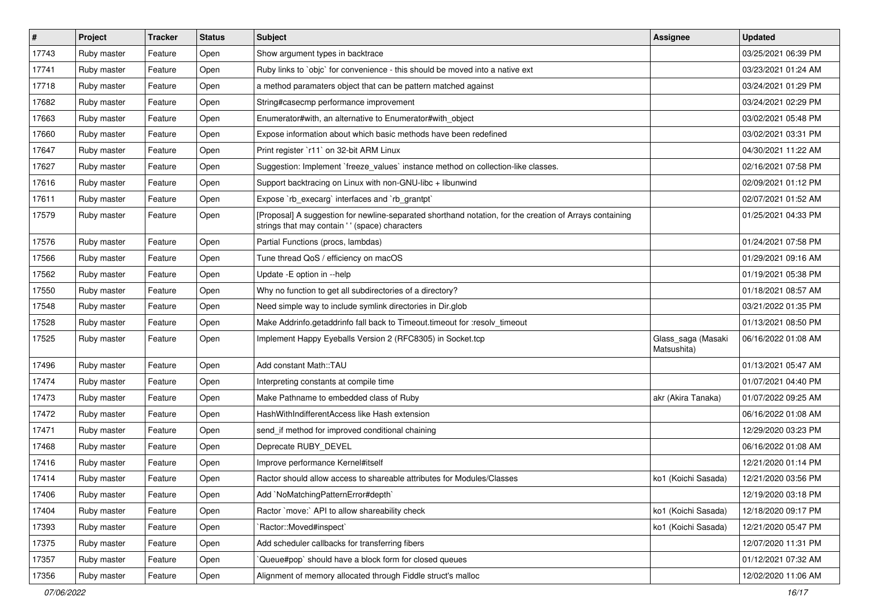| $\vert$ # | Project     | <b>Tracker</b> | <b>Status</b> | <b>Subject</b>                                                                                                                                             | Assignee                          | <b>Updated</b>      |
|-----------|-------------|----------------|---------------|------------------------------------------------------------------------------------------------------------------------------------------------------------|-----------------------------------|---------------------|
| 17743     | Ruby master | Feature        | Open          | Show argument types in backtrace                                                                                                                           |                                   | 03/25/2021 06:39 PM |
| 17741     | Ruby master | Feature        | Open          | Ruby links to `objc` for convenience - this should be moved into a native ext                                                                              |                                   | 03/23/2021 01:24 AM |
| 17718     | Ruby master | Feature        | Open          | a method paramaters object that can be pattern matched against                                                                                             |                                   | 03/24/2021 01:29 PM |
| 17682     | Ruby master | Feature        | Open          | String#casecmp performance improvement                                                                                                                     |                                   | 03/24/2021 02:29 PM |
| 17663     | Ruby master | Feature        | Open          | Enumerator#with, an alternative to Enumerator#with_object                                                                                                  |                                   | 03/02/2021 05:48 PM |
| 17660     | Ruby master | Feature        | Open          | Expose information about which basic methods have been redefined                                                                                           |                                   | 03/02/2021 03:31 PM |
| 17647     | Ruby master | Feature        | Open          | Print register `r11` on 32-bit ARM Linux                                                                                                                   |                                   | 04/30/2021 11:22 AM |
| 17627     | Ruby master | Feature        | Open          | Suggestion: Implement `freeze_values` instance method on collection-like classes.                                                                          |                                   | 02/16/2021 07:58 PM |
| 17616     | Ruby master | Feature        | Open          | Support backtracing on Linux with non-GNU-libc + libunwind                                                                                                 |                                   | 02/09/2021 01:12 PM |
| 17611     | Ruby master | Feature        | Open          | Expose `rb_execarg` interfaces and `rb_grantpt`                                                                                                            |                                   | 02/07/2021 01:52 AM |
| 17579     | Ruby master | Feature        | Open          | [Proposal] A suggestion for newline-separated shorthand notation, for the creation of Arrays containing<br>strings that may contain ' ' (space) characters |                                   | 01/25/2021 04:33 PM |
| 17576     | Ruby master | Feature        | Open          | Partial Functions (procs, lambdas)                                                                                                                         |                                   | 01/24/2021 07:58 PM |
| 17566     | Ruby master | Feature        | Open          | Tune thread QoS / efficiency on macOS                                                                                                                      |                                   | 01/29/2021 09:16 AM |
| 17562     | Ruby master | Feature        | Open          | Update - E option in --help                                                                                                                                |                                   | 01/19/2021 05:38 PM |
| 17550     | Ruby master | Feature        | Open          | Why no function to get all subdirectories of a directory?                                                                                                  |                                   | 01/18/2021 08:57 AM |
| 17548     | Ruby master | Feature        | Open          | Need simple way to include symlink directories in Dir.glob                                                                                                 |                                   | 03/21/2022 01:35 PM |
| 17528     | Ruby master | Feature        | Open          | Make Addrinfo.getaddrinfo fall back to Timeout.timeout for :resolv_timeout                                                                                 |                                   | 01/13/2021 08:50 PM |
| 17525     | Ruby master | Feature        | Open          | Implement Happy Eyeballs Version 2 (RFC8305) in Socket.tcp                                                                                                 | Glass_saga (Masaki<br>Matsushita) | 06/16/2022 01:08 AM |
| 17496     | Ruby master | Feature        | Open          | Add constant Math::TAU                                                                                                                                     |                                   | 01/13/2021 05:47 AM |
| 17474     | Ruby master | Feature        | Open          | Interpreting constants at compile time                                                                                                                     |                                   | 01/07/2021 04:40 PM |
| 17473     | Ruby master | Feature        | Open          | Make Pathname to embedded class of Ruby                                                                                                                    | akr (Akira Tanaka)                | 01/07/2022 09:25 AM |
| 17472     | Ruby master | Feature        | Open          | HashWithIndifferentAccess like Hash extension                                                                                                              |                                   | 06/16/2022 01:08 AM |
| 17471     | Ruby master | Feature        | Open          | send_if method for improved conditional chaining                                                                                                           |                                   | 12/29/2020 03:23 PM |
| 17468     | Ruby master | Feature        | Open          | Deprecate RUBY_DEVEL                                                                                                                                       |                                   | 06/16/2022 01:08 AM |
| 17416     | Ruby master | Feature        | Open          | Improve performance Kernel#itself                                                                                                                          |                                   | 12/21/2020 01:14 PM |
| 17414     | Ruby master | Feature        | Open          | Ractor should allow access to shareable attributes for Modules/Classes                                                                                     | ko1 (Koichi Sasada)               | 12/21/2020 03:56 PM |
| 17406     | Ruby master | Feature        | Open          | Add `NoMatchingPatternError#depth`                                                                                                                         |                                   | 12/19/2020 03:18 PM |
| 17404     | Ruby master | Feature        | Open          | Ractor `move:` API to allow shareability check                                                                                                             | ko1 (Koichi Sasada)               | 12/18/2020 09:17 PM |
| 17393     | Ruby master | Feature        | Open          | `Ractor::Moved#inspect`                                                                                                                                    | ko1 (Koichi Sasada)               | 12/21/2020 05:47 PM |
| 17375     | Ruby master | Feature        | Open          | Add scheduler callbacks for transferring fibers                                                                                                            |                                   | 12/07/2020 11:31 PM |
| 17357     | Ruby master | Feature        | Open          | Queue#pop`should have a block form for closed queues                                                                                                       |                                   | 01/12/2021 07:32 AM |
| 17356     | Ruby master | Feature        | Open          | Alignment of memory allocated through Fiddle struct's malloc                                                                                               |                                   | 12/02/2020 11:06 AM |